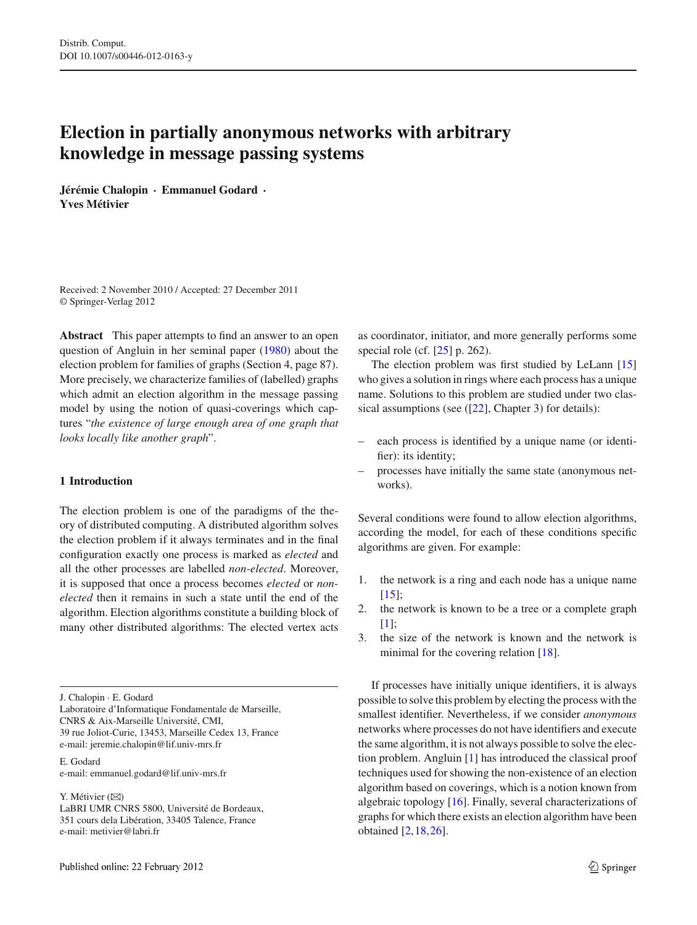# **Election in partially anonymous networks with arbitrary knowledge in message passing systems**

**Jérémie Chalopin** · **Emmanuel Godard** · **Yves Métivier**

Received: 2 November 2010 / Accepted: 27 December 2011 © Springer-Verlag 2012

**Abstract** This paper attempts to find an answer to an open question of Angluin in her seminal paper [\(1980\)](#page-13-0) about the election problem for families of graphs (Section 4, page 87). More precisely, we characterize families of (labelled) graphs which admit an election algorithm in the message passing model by using the notion of quasi-coverings which captures "*the existence of large enough area of one graph that looks locally like another graph*".

## **1 Introduction**

The election problem is one of the paradigms of the theory of distributed computing. A distributed algorithm solves the election problem if it always terminates and in the final configuration exactly one process is marked as *elected* and all the other processes are labelled *non-elected*. Moreover, it is supposed that once a process becomes *elected* or *nonelected* then it remains in such a state until the end of the algorithm. Election algorithms constitute a building block of many other distributed algorithms: The elected vertex acts

J. Chalopin · E. Godard

Laboratoire d'Informatique Fondamentale de Marseille, CNRS & Aix-Marseille Université, CMI, 39 rue Joliot-Curie, 13453, Marseille Cedex 13, France e-mail: jeremie.chalopin@lif.univ-mrs.fr

E. Godard e-mail: emmanuel.godard@lif.univ-mrs.fr

Y. Métivier (⊠)

LaBRI UMR CNRS 5800, Université de Bordeaux, 351 cours dela Libération, 33405 Talence, France e-mail: metivier@labri.fr

as coordinator, initiator, and more generally performs some special role (cf.  $[25]$  p. 262).

The election problem was first studied by LeLann [\[15\]](#page-13-1) who gives a solution in rings where each process has a unique name. Solutions to this problem are studied under two classical assumptions (see  $(22)$ , Chapter 3) for details):

- each process is identified by a unique name (or identifier): its identity;
- processes have initially the same state (anonymous networks).

Several conditions were found to allow election algorithms, according the model, for each of these conditions specific algorithms are given. For example:

- 1. the network is a ring and each node has a unique name  $[15]$  $[15]$ ;
- 2. the network is known to be a tree or a complete graph  $[1]$  $[1]$ :
- 3. the size of the network is known and the network is minimal for the covering relation [\[18\]](#page-14-0).

If processes have initially unique identifiers, it is always possible to solve this problem by electing the process with the smallest identifier. Nevertheless, if we consider *anonymous* networks where processes do not have identifiers and execute the same algorithm, it is not always possible to solve the election problem. Angluin [\[1\]](#page-13-0) has introduced the classical proof techniques used for showing the non-existence of an election algorithm based on coverings, which is a notion known from algebraic topology [\[16\]](#page-13-2). Finally, several characterizations of graphs for which there exists an election algorithm have been obtained [\[2](#page-13-3),[18](#page-14-0),[26\]](#page-14-1).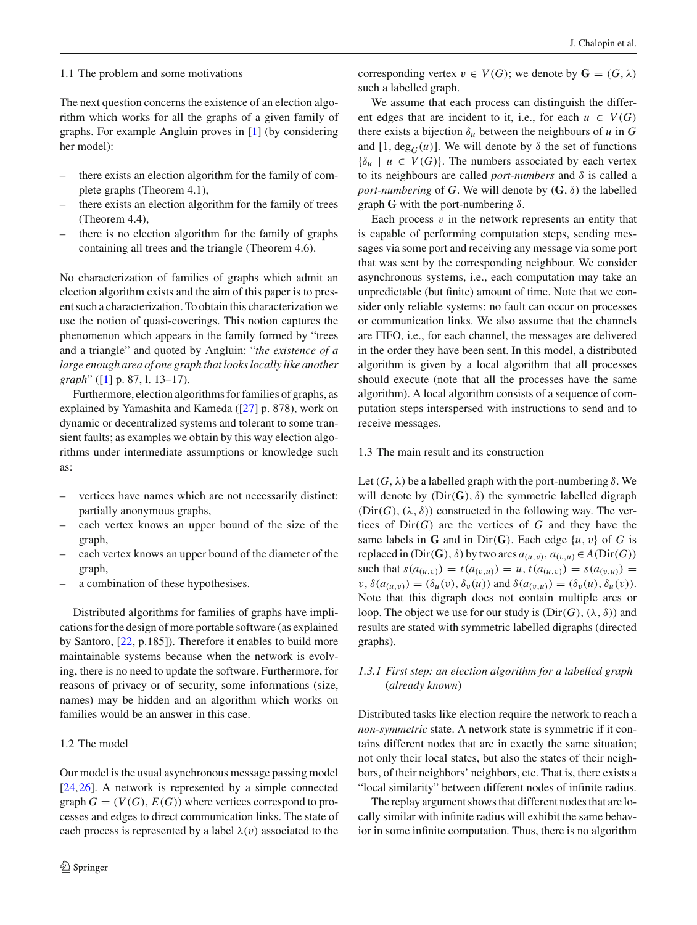#### 1.1 The problem and some motivations

The next question concerns the existence of an election algorithm which works for all the graphs of a given family of graphs. For example Angluin proves in [\[1](#page-13-0)] (by considering her model):

- there exists an election algorithm for the family of complete graphs (Theorem 4.1),
- there exists an election algorithm for the family of trees (Theorem 4.4),
- there is no election algorithm for the family of graphs containing all trees and the triangle (Theorem 4.6).

No characterization of families of graphs which admit an election algorithm exists and the aim of this paper is to present such a characterization. To obtain this characterization we use the notion of quasi-coverings. This notion captures the phenomenon which appears in the family formed by "trees and a triangle" and quoted by Angluin: "*the existence of a large enough area of one graph that looks locally like another graph*" ([\[1](#page-13-0)] p. 87, l. 13–17).

Furthermore, election algorithms for families of graphs, as explained by Yamashita and Kameda ([\[27\]](#page-14-5) p. 878), work on dynamic or decentralized systems and tolerant to some transient faults; as examples we obtain by this way election algorithms under intermediate assumptions or knowledge such as:

- vertices have names which are not necessarily distinct: partially anonymous graphs,
- each vertex knows an upper bound of the size of the graph,
- each vertex knows an upper bound of the diameter of the graph,
- a combination of these hypothesises.

Distributed algorithms for families of graphs have implications for the design of more portable software (as explained by Santoro, [\[22](#page-14-3), p.185]). Therefore it enables to build more maintainable systems because when the network is evolving, there is no need to update the software. Furthermore, for reasons of privacy or of security, some informations (size, names) may be hidden and an algorithm which works on families would be an answer in this case.

## 1.2 The model

Our model is the usual asynchronous message passing model [\[24](#page-14-4),[26\]](#page-14-1). A network is represented by a simple connected graph  $G = (V(G), E(G))$  where vertices correspond to processes and edges to direct communication links. The state of each process is represented by a label  $\lambda(v)$  associated to the corresponding vertex  $v \in V(G)$ ; we denote by  $G = (G, \lambda)$ such a labelled graph.

We assume that each process can distinguish the different edges that are incident to it, i.e., for each  $u \in V(G)$ there exists a bijection  $\delta_u$  between the neighbours of *u* in *G* and [1, deg<sub>G</sub>(*u*)]. We will denote by  $\delta$  the set of functions  ${\delta_u \mid u \in V(G)}$ . The numbers associated by each vertex to its neighbours are called *port-numbers* and δ is called a *port-numbering* of *G*. We will denote by  $(G, \delta)$  the labelled graph **G** with the port-numbering  $\delta$ .

Each process  $v$  in the network represents an entity that is capable of performing computation steps, sending messages via some port and receiving any message via some port that was sent by the corresponding neighbour. We consider asynchronous systems, i.e., each computation may take an unpredictable (but finite) amount of time. Note that we consider only reliable systems: no fault can occur on processes or communication links. We also assume that the channels are FIFO, i.e., for each channel, the messages are delivered in the order they have been sent. In this model, a distributed algorithm is given by a local algorithm that all processes should execute (note that all the processes have the same algorithm). A local algorithm consists of a sequence of computation steps interspersed with instructions to send and to receive messages.

## 1.3 The main result and its construction

Let  $(G, \lambda)$  be a labelled graph with the port-numbering  $\delta$ . We will denote by  $(Dir(G), \delta)$  the symmetric labelled digraph  $(Dir(G), (\lambda, \delta))$  constructed in the following way. The vertices of  $Dir(G)$  are the vertices of *G* and they have the same labels in **G** and in Dir(**G**). Each edge  $\{u, v\}$  of *G* is replaced in (Dir(**G**),  $\delta$ ) by two arcs  $a_{(u,v)}$ ,  $a_{(v,u)} \in A(\text{Dir}(G))$ such that  $s(a_{(u,v)}) = t(a_{(v,u)}) = u, t(a_{(u,v)}) = s(a_{(v,u)}) =$  $v, \delta(a_{(u,v)}) = (\delta_u(v), \delta_v(u))$  and  $\delta(a_{(v,u)}) = (\delta_v(u), \delta_u(v))$ . Note that this digraph does not contain multiple arcs or loop. The object we use for our study is  $(Dir(G), (\lambda, \delta))$  and results are stated with symmetric labelled digraphs (directed graphs).

# *1.3.1 First step: an election algorithm for a labelled graph* (*already known*)

Distributed tasks like election require the network to reach a *non-symmetric* state. A network state is symmetric if it contains different nodes that are in exactly the same situation; not only their local states, but also the states of their neighbors, of their neighbors' neighbors, etc. That is, there exists a "local similarity" between different nodes of infinite radius.

The replay argument shows that different nodes that are locally similar with infinite radius will exhibit the same behavior in some infinite computation. Thus, there is no algorithm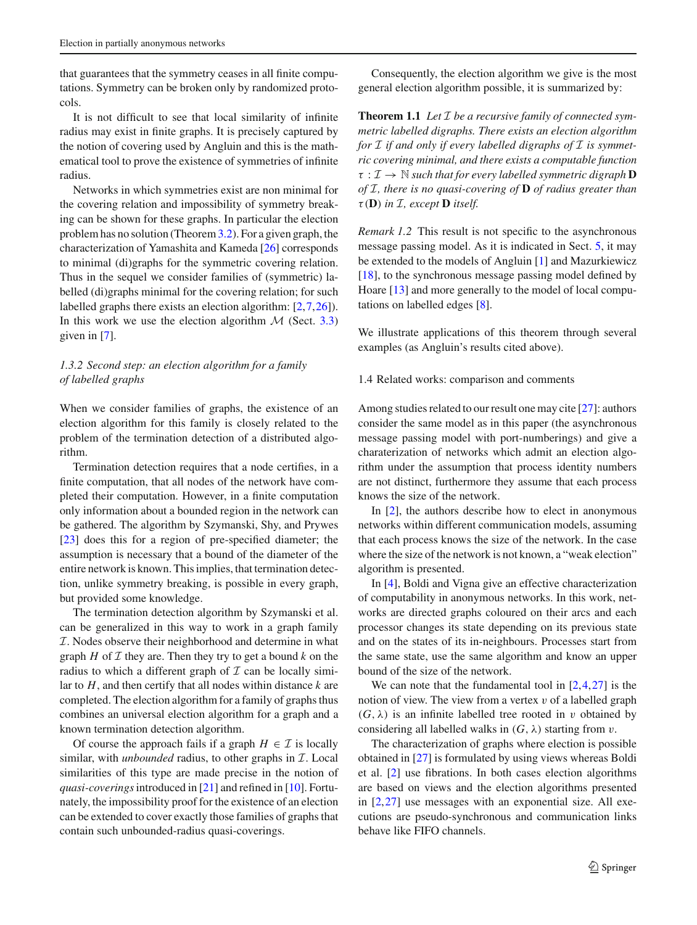that guarantees that the symmetry ceases in all finite computations. Symmetry can be broken only by randomized protocols.

It is not difficult to see that local similarity of infinite radius may exist in finite graphs. It is precisely captured by the notion of covering used by Angluin and this is the mathematical tool to prove the existence of symmetries of infinite radius.

Networks in which symmetries exist are non minimal for the covering relation and impossibility of symmetry breaking can be shown for these graphs. In particular the election problem has no solution (Theorem[3.2\)](#page-4-0). For a given graph, the characterization of Yamashita and Kameda [\[26\]](#page-14-1) corresponds to minimal (di)graphs for the symmetric covering relation. Thus in the sequel we consider families of (symmetric) labelled (di)graphs minimal for the covering relation; for such labelled graphs there exists an election algorithm: [\[2,](#page-13-3)[7](#page-13-4)[,26](#page-14-1)]). In this work we use the election algorithm  $M$  (Sect. [3.3\)](#page-4-1) given in [\[7\]](#page-13-4).

# *1.3.2 Second step: an election algorithm for a family of labelled graphs*

When we consider families of graphs, the existence of an election algorithm for this family is closely related to the problem of the termination detection of a distributed algorithm.

Termination detection requires that a node certifies, in a finite computation, that all nodes of the network have completed their computation. However, in a finite computation only information about a bounded region in the network can be gathered. The algorithm by Szymanski, Shy, and Prywes [\[23](#page-14-6)] does this for a region of pre-specified diameter; the assumption is necessary that a bound of the diameter of the entire network is known. This implies, that termination detection, unlike symmetry breaking, is possible in every graph, but provided some knowledge.

The termination detection algorithm by Szymanski et al. can be generalized in this way to work in a graph family I. Nodes observe their neighborhood and determine in what graph  $H$  of  $I$  they are. Then they try to get a bound  $k$  on the radius to which a different graph of  $\mathcal I$  can be locally similar to *H*, and then certify that all nodes within distance *k* are completed. The election algorithm for a family of graphs thus combines an universal election algorithm for a graph and a known termination detection algorithm.

Of course the approach fails if a graph  $H \in \mathcal{I}$  is locally similar, with *unbounded* radius, to other graphs in  $I$ . Local similarities of this type are made precise in the notion of *quasi-coverings*introduced in [\[21](#page-14-7)] and refined in [\[10\]](#page-13-5). Fortunately, the impossibility proof for the existence of an election can be extended to cover exactly those families of graphs that contain such unbounded-radius quasi-coverings.

<span id="page-2-0"></span>Consequently, the election algorithm we give is the most general election algorithm possible, it is summarized by:

**Theorem 1.1** *Let* I *be a recursive family of connected symmetric labelled digraphs. There exists an election algorithm* for  $I$  *if and only if every labelled digraphs of*  $I$  *is symmetric covering minimal, and there exists a computable function*  $\tau : \mathcal{I} \to \mathbb{N}$  *such that for every labelled symmetric digraph* **D** *of* I*, there is no quasi-covering of* **D** *of radius greater than*  $\tau$  (**D**) in *I*, except **D** itself.

*Remark 1.2* This result is not specific to the asynchronous message passing model. As it is indicated in Sect. [5,](#page-8-0) it may be extended to the models of Angluin [\[1](#page-13-0)] and Mazurkiewicz [\[18](#page-14-0)], to the synchronous message passing model defined by Hoare [\[13](#page-13-6)] and more generally to the model of local computations on labelled edges [\[8](#page-13-7)].

We illustrate applications of this theorem through several examples (as Angluin's results cited above).

#### 1.4 Related works: comparison and comments

Among studies related to our result one may cite [\[27](#page-14-5)]: authors consider the same model as in this paper (the asynchronous message passing model with port-numberings) and give a charaterization of networks which admit an election algorithm under the assumption that process identity numbers are not distinct, furthermore they assume that each process knows the size of the network.

In [\[2\]](#page-13-3), the authors describe how to elect in anonymous networks within different communication models, assuming that each process knows the size of the network. In the case where the size of the network is not known, a "weak election" algorithm is presented.

In [\[4\]](#page-13-8), Boldi and Vigna give an effective characterization of computability in anonymous networks. In this work, networks are directed graphs coloured on their arcs and each processor changes its state depending on its previous state and on the states of its in-neighbours. Processes start from the same state, use the same algorithm and know an upper bound of the size of the network.

We can note that the fundamental tool in  $[2,4,27]$  $[2,4,27]$  $[2,4,27]$  is the notion of view. The view from a vertex  $v$  of a labelled graph  $(G, \lambda)$  is an infinite labelled tree rooted in v obtained by considering all labelled walks in  $(G, \lambda)$  starting from v.

The characterization of graphs where election is possible obtained in [\[27\]](#page-14-5) is formulated by using views whereas Boldi et al. [\[2](#page-13-3)] use fibrations. In both cases election algorithms are based on views and the election algorithms presented in  $[2,27]$  $[2,27]$  $[2,27]$  use messages with an exponential size. All executions are pseudo-synchronous and communication links behave like FIFO channels.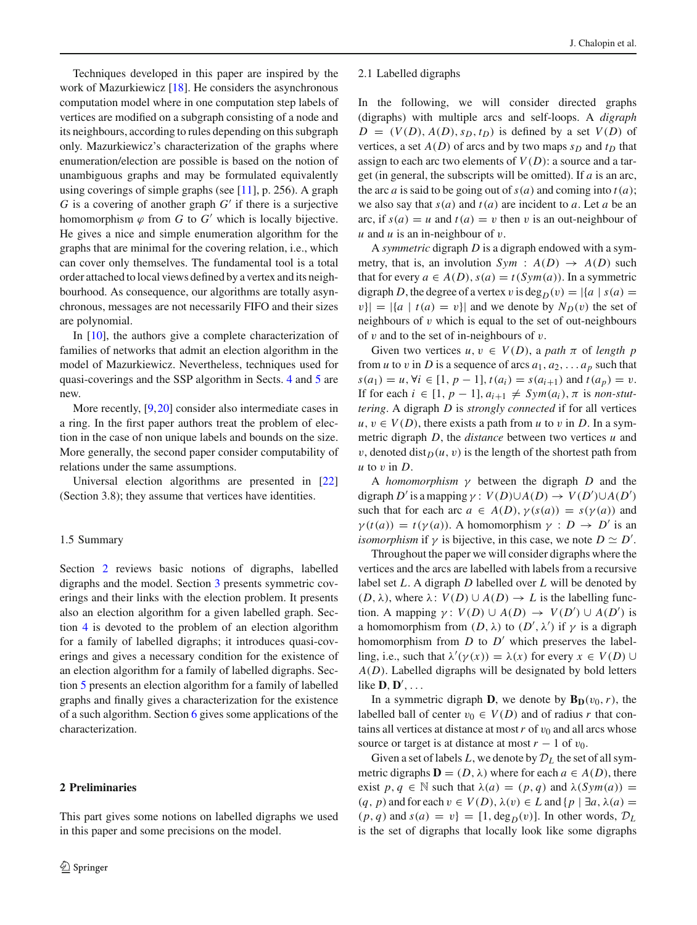Techniques developed in this paper are inspired by the work of Mazurkiewicz [\[18](#page-14-0)]. He considers the asynchronous computation model where in one computation step labels of vertices are modified on a subgraph consisting of a node and its neighbours, according to rules depending on this subgraph only. Mazurkiewicz's characterization of the graphs where enumeration/election are possible is based on the notion of unambiguous graphs and may be formulated equivalently using coverings of simple graphs (see  $[11]$ , p. 256). A graph  $G$  is a covering of another graph  $G'$  if there is a surjective homomorphism  $\varphi$  from *G* to *G'* which is locally bijective. He gives a nice and simple enumeration algorithm for the graphs that are minimal for the covering relation, i.e., which can cover only themselves. The fundamental tool is a total order attached to local views defined by a vertex and its neighbourhood. As consequence, our algorithms are totally asynchronous, messages are not necessarily FIFO and their sizes are polynomial.

In [\[10](#page-13-5)], the authors give a complete characterization of families of networks that admit an election algorithm in the model of Mazurkiewicz. Nevertheless, techniques used for quasi-coverings and the SSP algorithm in Sects. [4](#page-7-0) and [5](#page-8-0) are new.

More recently, [\[9](#page-13-10),[20\]](#page-14-8) consider also intermediate cases in a ring. In the first paper authors treat the problem of election in the case of non unique labels and bounds on the size. More generally, the second paper consider computability of relations under the same assumptions.

Universal election algorithms are presented in [\[22\]](#page-14-3) (Section 3.8); they assume that vertices have identities.

#### 1.5 Summary

Section [2](#page-3-0) reviews basic notions of digraphs, labelled digraphs and the model. Section [3](#page-4-2) presents symmetric coverings and their links with the election problem. It presents also an election algorithm for a given labelled graph. Section [4](#page-7-0) is devoted to the problem of an election algorithm for a family of labelled digraphs; it introduces quasi-coverings and gives a necessary condition for the existence of an election algorithm for a family of labelled digraphs. Section [5](#page-8-0) presents an election algorithm for a family of labelled graphs and finally gives a characterization for the existence of a such algorithm. Section [6](#page-12-0) gives some applications of the characterization.

## <span id="page-3-0"></span>**2 Preliminaries**

This part gives some notions on labelled digraphs we used in this paper and some precisions on the model.

#### 2.1 Labelled digraphs

In the following, we will consider directed graphs (digraphs) with multiple arcs and self-loops. A *digraph*  $D = (V(D), A(D), s_D, t_D)$  is defined by a set  $V(D)$  of vertices, a set  $A(D)$  of arcs and by two maps  $s_D$  and  $t_D$  that assign to each arc two elements of  $V(D)$ : a source and a target (in general, the subscripts will be omitted). If *a* is an arc, the arc *a* is said to be going out of  $s(a)$  and coming into  $t(a)$ ; we also say that  $s(a)$  and  $t(a)$  are incident to *a*. Let *a* be an arc, if  $s(a) = u$  and  $t(a) = v$  then v is an out-neighbour of *u* and *u* is an in-neighbour of v.

A *symmetric* digraph *D* is a digraph endowed with a symmetry, that is, an involution  $Sym : A(D) \rightarrow A(D)$  such that for every  $a \in A(D)$ ,  $s(a) = t(Sym(a))$ . In a symmetric digraph *D*, the degree of a vertex v is deg<sub>*D*</sub>(v) =  $|\{a \mid s(a) =$  $|v| = |\{a \mid t(a) = v\}|$  and we denote by  $N_D(v)$  the set of neighbours of  $v$  which is equal to the set of out-neighbours of  $v$  and to the set of in-neighbours of  $v$ .

Given two vertices  $u, v \in V(D)$ , a path  $\pi$  of length p from *u* to *v* in *D* is a sequence of arcs  $a_1, a_2, \ldots, a_p$  such that *s*(*a*<sub>1</sub>) = *u*, ∀*i* ∈ [1, *p* − 1], *t*(*a<sub>i</sub>*) = *s*(*a<sub>i+1</sub>*) and *t*(*a<sub>p</sub>*) = *v*. If for each  $i \in [1, p-1], a_{i+1} \neq Sym(a_i), \pi$  is *non-stuttering*. A digraph *D* is *strongly connected* if for all vertices  $u, v \in V(D)$ , there exists a path from *u* to *v* in *D*. In a symmetric digraph *D*, the *distance* between two vertices *u* and  $v$ , denoted dist $D(u, v)$  is the length of the shortest path from *u* to v in *D*.

A *homomorphism* γ between the digraph *D* and the digraph *D'* is a mapping  $\gamma$  :  $V(D) \cup A(D) \rightarrow V(D') \cup A(D')$ such that for each arc  $a \in A(D)$ ,  $\gamma(s(a)) = s(\gamma(a))$  and  $\gamma(t(a)) = t(\gamma(a))$ . A homomorphism  $\gamma : D \to D'$  is an *isomorphism* if  $\gamma$  is bijective, in this case, we note  $D \simeq D'$ .

Throughout the paper we will consider digraphs where the vertices and the arcs are labelled with labels from a recursive label set *L*. A digraph *D* labelled over *L* will be denoted by  $(D, \lambda)$ , where  $\lambda: V(D) \cup A(D) \rightarrow L$  is the labelling function. A mapping  $\gamma: V(D) \cup A(D) \rightarrow V(D') \cup A(D')$  is a homomorphism from  $(D, \lambda)$  to  $(D', \lambda')$  if  $\gamma$  is a digraph homomorphism from  $D$  to  $D'$  which preserves the labelling, i.e., such that  $\lambda'(\gamma(x)) = \lambda(x)$  for every  $x \in V(D) \cup$ *A*(*D*). Labelled digraphs will be designated by bold letters like  $\mathbf{D}, \mathbf{D}', \dots$ 

In a symmetric digraph **D**, we denote by  $\mathbf{B}_{\mathbf{D}}(v_0, r)$ , the labelled ball of center  $v_0 \in V(D)$  and of radius *r* that contains all vertices at distance at most  $r$  of  $v_0$  and all arcs whose source or target is at distance at most  $r - 1$  of  $v_0$ .

Given a set of labels  $L$ , we denote by  $\mathcal{D}_L$  the set of all symmetric digraphs  $\mathbf{D} = (D, \lambda)$  where for each  $a \in A(D)$ , there exist  $p, q \in \mathbb{N}$  such that  $\lambda(a) = (p, q)$  and  $\lambda(Sym(a)) =$  $(q, p)$  and for each  $v \in V(D)$ ,  $\lambda(v) \in L$  and  $\{p \mid \exists a, \lambda(a) =$  $(p, q)$  and  $s(a) = v$  = [1, deg<sub>*D*</sub>(v)]. In other words,  $\mathcal{D}_L$ is the set of digraphs that locally look like some digraphs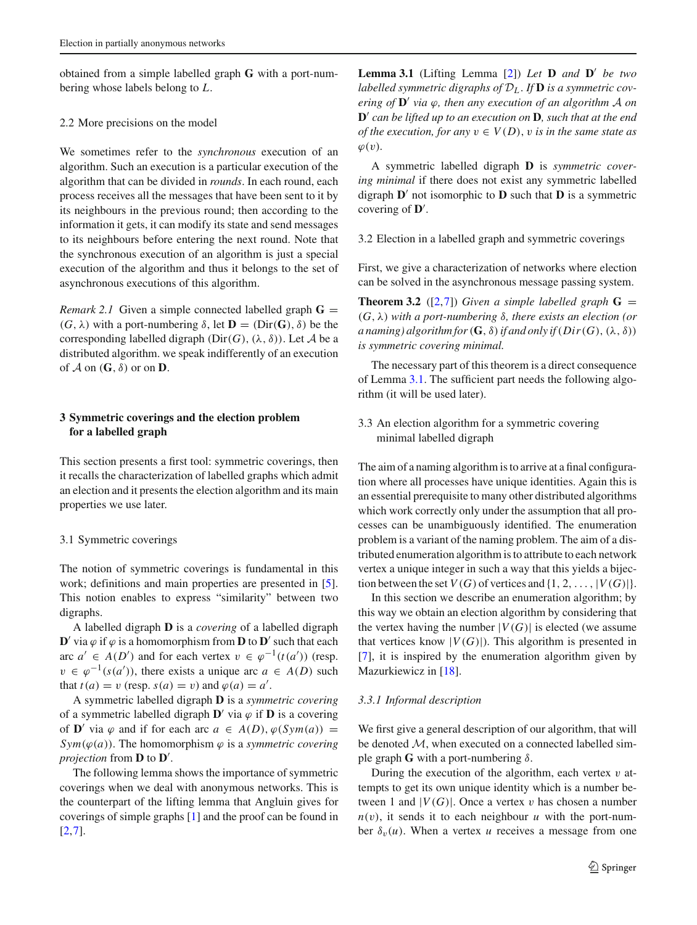obtained from a simple labelled graph **G** with a port-numbering whose labels belong to *L*.

## 2.2 More precisions on the model

We sometimes refer to the *synchronous* execution of an algorithm. Such an execution is a particular execution of the algorithm that can be divided in *rounds*. In each round, each process receives all the messages that have been sent to it by its neighbours in the previous round; then according to the information it gets, it can modify its state and send messages to its neighbours before entering the next round. Note that the synchronous execution of an algorithm is just a special execution of the algorithm and thus it belongs to the set of asynchronous executions of this algorithm.

*Remark 2.1* Given a simple connected labelled graph  $\mathbf{G} =$ (*G*, λ) with a port-numbering δ, let **D** = (Dir(**G**), δ) be the corresponding labelled digraph ( $Dir(G)$ ,  $(\lambda, \delta)$ ). Let A be a distributed algorithm. we speak indifferently of an execution of  $\mathcal A$  on  $(G, \delta)$  or on **D**.

# <span id="page-4-2"></span>**3 Symmetric coverings and the election problem for a labelled graph**

This section presents a first tool: symmetric coverings, then it recalls the characterization of labelled graphs which admit an election and it presents the election algorithm and its main properties we use later.

#### 3.1 Symmetric coverings

The notion of symmetric coverings is fundamental in this work; definitions and main properties are presented in [\[5](#page-13-11)]. This notion enables to express "similarity" between two digraphs.

A labelled digraph **D** is a *covering* of a labelled digraph **D**' via  $\varphi$  if  $\varphi$  is a homomorphism from **D** to **D**' such that each arc *a'* ∈ *A*(*D'*) and for each vertex  $v \in \varphi^{-1}(t(a'))$  (resp.  $v \in \varphi^{-1}(s(a'))$ , there exists a unique arc  $a \in A(D)$  such that  $t(a) = v$  (resp.  $s(a) = v$ ) and  $\varphi(a) = a'$ .

A symmetric labelled digraph **D** is a *symmetric covering* of a symmetric labelled digraph  $\mathbf{D}'$  via  $\varphi$  if  $\mathbf{D}$  is a covering of **D**' via  $\varphi$  and if for each arc  $a \in A(D), \varphi(Sym(a)) =$ *Sym*( $\varphi$ (*a*)). The homomorphism  $\varphi$  is a *symmetric covering projection* from  $\bf{D}$  to  $\bf{D}'$ .

<span id="page-4-3"></span>The following lemma shows the importance of symmetric coverings when we deal with anonymous networks. This is the counterpart of the lifting lemma that Angluin gives for coverings of simple graphs [\[1](#page-13-0)] and the proof can be found in [\[2](#page-13-3),[7\]](#page-13-4).

**Lemma 3.1** (Lifting Lemma [\[2\]](#page-13-3)) Let  $\bf{D}$  and  $\bf{D}'$  be two *labelled symmetric digraphs of* D*<sup>L</sup>* . *If* **D** *is a symmetric covering of*  $\mathbf{D}'$  *via*  $\varphi$ *, then any execution of an algorithm A on* **D**# *can be lifted up to an execution on* **D***, such that at the end of the execution, for any*  $v \in V(D)$ , *v is in the same state as*  $\varphi(v)$ .

A symmetric labelled digraph **D** is *symmetric covering minimal* if there does not exist any symmetric labelled digraph  $\mathbf{D}'$  not isomorphic to  $\mathbf{D}$  such that  $\mathbf{D}$  is a symmetric covering of  $\mathbf{D}'$ .

3.2 Election in a labelled graph and symmetric coverings

<span id="page-4-0"></span>First, we give a characterization of networks where election can be solved in the asynchronous message passing system.

**Theorem 3.2** ([\[2](#page-13-3),[7](#page-13-4)]) *Given a simple labelled graph*  $G =$ (*G*, λ) *with a port-numbering* δ*, there exists an election (or a* naming) algorithm for  $(G, \delta)$  if and only if  $(Dir(G), (\lambda, \delta))$ *is symmetric covering minimal.*

The necessary part of this theorem is a direct consequence of Lemma [3.1.](#page-4-3) The sufficient part needs the following algorithm (it will be used later).

<span id="page-4-1"></span>3.3 An election algorithm for a symmetric covering minimal labelled digraph

The aim of a naming algorithm is to arrive at a final configuration where all processes have unique identities. Again this is an essential prerequisite to many other distributed algorithms which work correctly only under the assumption that all processes can be unambiguously identified. The enumeration problem is a variant of the naming problem. The aim of a distributed enumeration algorithm is to attribute to each network vertex a unique integer in such a way that this yields a bijection between the set  $V(G)$  of vertices and  $\{1, 2, \ldots, |V(G)|\}.$ 

In this section we describe an enumeration algorithm; by this way we obtain an election algorithm by considering that the vertex having the number  $|V(G)|$  is elected (we assume that vertices know  $|V(G)|$ ). This algorithm is presented in [\[7](#page-13-4)], it is inspired by the enumeration algorithm given by Mazurkiewicz in [\[18\]](#page-14-0).

## *3.3.1 Informal description*

We first give a general description of our algorithm, that will be denoted  $M$ , when executed on a connected labelled simple graph **G** with a port-numbering  $\delta$ .

During the execution of the algorithm, each vertex  $v$  attempts to get its own unique identity which is a number between 1 and  $|V(G)|$ . Once a vertex v has chosen a number  $n(v)$ , it sends it to each neighbour *u* with the port-number  $\delta_v(u)$ . When a vertex *u* receives a message from one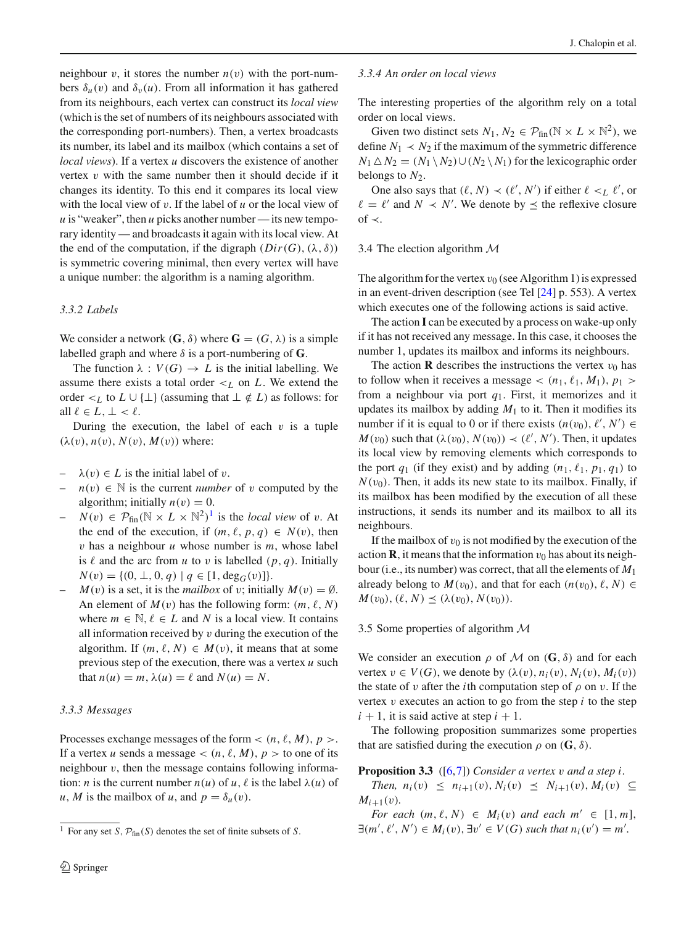neighbour v, it stores the number  $n(v)$  with the port-numbers  $\delta_u(v)$  and  $\delta_v(u)$ . From all information it has gathered from its neighbours, each vertex can construct its *local view* (which is the set of numbers of its neighbours associated with the corresponding port-numbers). Then, a vertex broadcasts its number, its label and its mailbox (which contains a set of *local views*). If a vertex *u* discovers the existence of another vertex  $v$  with the same number then it should decide if it changes its identity. To this end it compares its local view with the local view of v. If the label of *u* or the local view of  *is "weaker", then*  $*u*$  *picks another number— its new tempo*rary identity — and broadcasts it again with its local view. At the end of the computation, if the digraph  $(Dir(G), (\lambda, \delta))$ is symmetric covering minimal, then every vertex will have a unique number: the algorithm is a naming algorithm.

## *3.3.2 Labels*

We consider a network  $(G, \delta)$  where  $G = (G, \lambda)$  is a simple labelled graph and where  $\delta$  is a port-numbering of **G**.

The function  $\lambda : V(G) \to L$  is the initial labelling. We assume there exists a total order  $\lt_L$  on *L*. We extend the order <*L* to  $L \cup \{\perp\}$  (assuming that  $\perp \notin L$ ) as follows: for all  $\ell \in L, \perp < \ell$ .

During the execution, the label of each  $v$  is a tuple  $(\lambda(v), n(v), N(v), M(v))$  where:

- $\lambda(v) \in L$  is the initial label of v.
- $n(v) \in \mathbb{N}$  is the current *number* of v computed by the algorithm; initially  $n(v) = 0$ .
- $N(v) \in \mathcal{P}_{fin}(\mathbb{N} \times L \times \mathbb{N}^2)^1$  $N(v) \in \mathcal{P}_{fin}(\mathbb{N} \times L \times \mathbb{N}^2)^1$  is the *local view* of v. At the end of the execution, if  $(m, \ell, p, q) \in N(v)$ , then v has a neighbour *u* whose number is *m*, whose label is  $\ell$  and the arc from  $u$  to  $v$  is labelled  $(p, q)$ . Initially  $N(v) = \{(0, \perp, 0, q) \mid q \in [1, \deg_G(v)]\}.$
- $M(v)$  is a set, it is the *mailbox* of v; initially  $M(v) = \emptyset$ . An element of  $M(v)$  has the following form:  $(m, \ell, N)$ where  $m \in \mathbb{N}, \ell \in L$  and N is a local view. It contains all information received by  $v$  during the execution of the algorithm. If  $(m, \ell, N) \in M(v)$ , it means that at some previous step of the execution, there was a vertex *u* such that  $n(u) = m$ ,  $\lambda(u) = \ell$  and  $N(u) = N$ .

## *3.3.3 Messages*

Processes exchange messages of the form  $\lt (n, \ell, M), p >$ . If a vertex *u* sends a message  $\lt (n, \ell, M)$ ,  $p >$  to one of its neighbour  $v$ , then the message contains following information: *n* is the current number  $n(u)$  of  $u$ ,  $\ell$  is the label  $\lambda(u)$  of *u*, *M* is the mailbox of *u*, and  $p = \delta_u(v)$ .

#### *3.3.4 An order on local views*

The interesting properties of the algorithm rely on a total order on local views.

Given two distinct sets  $N_1, N_2 \in \mathcal{P}_{fin}(\mathbb{N} \times L \times \mathbb{N}^2)$ , we define  $N_1 \prec N_2$  if the maximum of the symmetric difference  $N_1 \triangle N_2 = (N_1 \setminus N_2) \cup (N_2 \setminus N_1)$  for the lexicographic order belongs to  $N_2$ .

One also says that  $(\ell, N) \prec (\ell', N')$  if either  $\ell \prec_L \ell'$ , or  $\ell = \ell'$  and  $N \prec N'$ . We denote by  $\leq$  the reflexive closure of  $\prec$ .

#### 3.4 The election algorithm M

The algorithm for the vertex  $v_0$  (see Algorithm 1) is expressed in an event-driven description (see Tel [\[24](#page-14-4)] p. 553). A vertex which executes one of the following actions is said active.

The action **I** can be executed by a process on wake-up only if it has not received any message. In this case, it chooses the number 1, updates its mailbox and informs its neighbours.

The action **R** describes the instructions the vertex  $v_0$  has to follow when it receives a message  $\lt (n_1, \ell_1, M_1), p_1 \gt$ from a neighbour via port *q*1. First, it memorizes and it updates its mailbox by adding  $M_1$  to it. Then it modifies its number if it is equal to 0 or if there exists  $(n(v_0), \ell', N') \in$  $M(v_0)$  such that  $(\lambda(v_0), N(v_0)) \prec (\ell', N')$ . Then, it updates its local view by removing elements which corresponds to the port  $q_1$  (if they exist) and by adding  $(n_1, \ell_1, p_1, q_1)$  to  $N(v_0)$ . Then, it adds its new state to its mailbox. Finally, if its mailbox has been modified by the execution of all these instructions, it sends its number and its mailbox to all its neighbours.

If the mailbox of  $v_0$  is not modified by the execution of the action **R**, it means that the information  $v_0$  has about its neighbour (i.e., its number) was correct, that all the elements of *M*<sup>1</sup> already belong to  $M(v_0)$ , and that for each  $(n(v_0), \ell, N)$  $M(v_0), (\ell, N) \leq (\lambda(v_0), N(v_0)).$ 

#### 3.5 Some properties of algorithm M

We consider an execution  $\rho$  of  $M$  on  $(G, \delta)$  and for each vertex  $v \in V(G)$ , we denote by  $(\lambda(v), n_i(v), N_i(v), M_i(v))$ the state of v after the *i*th computation step of  $\rho$  on v. If the vertex  $v$  executes an action to go from the step  $i$  to the step  $i + 1$ , it is said active at step  $i + 1$ .

<span id="page-5-1"></span>The following proposition summarizes some properties that are satisfied during the execution  $\rho$  on  $(G, \delta)$ .

#### **Proposition 3.3** ([\[6](#page-13-12)[,7](#page-13-4)]) *Consider a vertex* v *and a step i.*

*Then,*  $n_i(v) \leq n_{i+1}(v), N_i(v) \leq N_{i+1}(v), M_i(v) \subseteq$  $M_{i+1}(v)$ .

*For each*  $(m, \ell, N) \in M_i(v)$  *and each*  $m' \in [1, m]$ ,  $\exists (m', \ell', N') \in M_i(v), \exists v' \in V(G) \text{ such that } n_i(v') = m'.$ 

<span id="page-5-0"></span><sup>&</sup>lt;sup>1</sup> For any set *S*,  $\mathcal{P}_{fin}(S)$  denotes the set of finite subsets of *S*.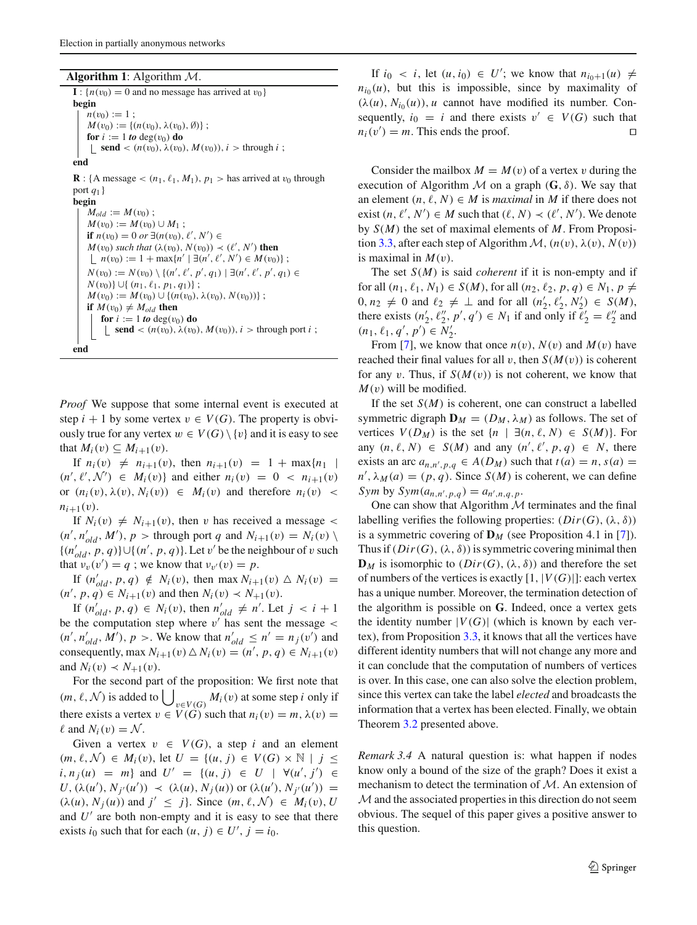**Algorithm 1**: Algorithm M.

 $\mathbf{I}$  : { $n(v_0) = 0$  and no message has arrived at  $v_0$ } **begin**  $n(v_0) := 1$ :  $M(v_0) := \{(n(v_0), \lambda(v_0), \emptyset)\};$ **for**  $i := 1$  *to* deg( $v_0$ ) **do send** <  $(n(v_0), \lambda(v_0), M(v_0)), i >$  through *i* ; **end R** : {A message <  $(n_1, \ell_1, M_1)$ ,  $p_1$  > has arrived at  $v_0$  through port *q*1}

**begin**  $M_{old} := M(v_0)$ ;  $M(v_0) := M(v_0) \cup M_1;$ **if**  $n(v_0) = 0$  or ∃( $n(v_0)$ ,  $\ell'$ ,  $N'$ ) ∈  $M(v_0)$  *such that*  $(\lambda(v_0), N(v_0)) \prec (\ell', N')$  **then**  $n(v_0) := 1 + \max\{n' \mid \exists (n', \ell', N') \in M(v_0)\};$  $N(v_0) := N(v_0) \setminus \{(n', \ell', p', q_1) \mid \exists (n', \ell', p', q_1) \in$ *N*(*v*<sub>0</sub>)}∪{ (*n*<sub>1</sub>,  $\ell$ <sub>1</sub>, *p*<sub>1</sub>, *q*<sub>1</sub>)} ;  $M(v_0) := M(v_0) \cup \{(n(v_0), \lambda(v_0), N(v_0))\};$ **if**  $M(v_0) \neq M_{old}$  **then for**  $i := 1$  *to* deg( $v_0$ ) **do send** <  $(n(v_0), \lambda(v_0), M(v_0)), i >$  through port *i* ; **end**

*Proof* We suppose that some internal event is executed at step  $i + 1$  by some vertex  $v \in V(G)$ . The property is obviously true for any vertex  $w \in V(G) \setminus \{v\}$  and it is easy to see that  $M_i(v) \subseteq M_{i+1}(v)$ .

If  $n_i(v) \neq n_{i+1}(v)$ , then  $n_{i+1}(v) = 1 + \max\{n_1 \mid v\}$  $(n', \ell', \mathcal{N}') \in M_i(v)$  and either  $n_i(v) = 0 < n_{i+1}(v)$ or  $(n_i(v), \lambda(v), N_i(v)) \in M_i(v)$  and therefore  $n_i(v)$  <  $n_{i+1}(v)$ .

If  $N_i(v) \neq N_{i+1}(v)$ , then v has received a message <  $(n', n'_{old}, M')$ ,  $p$  > through port *q* and  $N_{i+1}(v) = N_i(v) \setminus$  $\{(n'_{old}, p, q)\} \cup \{(n', p, q)\}.$  Let v' be the neighbour of v such that  $v_v(v') = q$ ; we know that  $v_{v'}(v) = p$ .

If  $(n'_{old}, p, q) \notin N_i(v)$ , then max  $N_{i+1}(v) \triangle N_i(v) =$  $(n', p, q) \in N_{i+1}(v)$  and then  $N_i(v) \prec N_{+1}(v)$ .

If  $(n'_{old}, p, q) \in N_i(v)$ , then  $n'_{old} \neq n'$ . Let  $j \leq i+1$ be the computation step where  $v'$  has sent the message  $\lt$  $(n', n'_{old}, M')$ ,  $p >$ . We know that  $n'_{old} \leq n' = n_j(v')$  and consequently, max  $N_{i+1}(v) \triangle N_i(v) = (n', p, q) \in N_{i+1}(v)$ and  $N_i(v) \prec N_{+1}(v)$ .

For the second part of the proposition: We first note that  $(m, \ell, \mathcal{N})$  is added to  $\bigcup_{v \in V(G)} M_i(v)$  at some step *i* only if there exists a vertex  $v \in V(G)$  such that  $n_i(v) = m$ ,  $\lambda(v) =$  $\ell$  and  $N_i(v) = \mathcal{N}$ .

Given a vertex  $v \in V(G)$ , a step *i* and an element  $(m, \ell, \mathcal{N}) \in M_i(v)$ , let  $U = \{(u, j) \in V(G) \times \mathbb{N} \mid j \leq j\}$  $i, n_j(u) = m$  and  $U' = \{(u, j) \in U \mid \forall (u', j') \in$ *U*,  $(\lambda(u'), N_{j'}(u')) \prec (\lambda(u), N_j(u))$  or  $(\lambda(u'), N_{j'}(u')) =$  $(\lambda(u), N_j(u))$  and  $j' \leq j$ . Since  $(m, \ell, \mathcal{N}) \in M_i(v)$ , *U* and  $U'$  are both non-empty and it is easy to see that there exists  $i_0$  such that for each  $(u, j) \in U', j = i_0$ .

If  $i_0 < i$ , let  $(u, i_0) \in U'$ ; we know that  $n_{i_0+1}(u) \neq$  $n_{i0}(u)$ , but this is impossible, since by maximality of  $(\lambda(u), N_{i_0}(u)), u$  cannot have modified its number. Consequently,  $i_0 = i$  and there exists  $v' \in V(G)$  such that  $n_i(v') = m$ . This ends the proof.

Consider the mailbox  $M = M(v)$  of a vertex v during the execution of Algorithm  $M$  on a graph  $(G, \delta)$ . We say that an element  $(n, \ell, N) \in M$  is *maximal* in *M* if there does not exist  $(n, \ell', N') \in M$  such that  $(\ell, N) \prec (\ell', N')$ . We denote by *S*(*M*) the set of maximal elements of *M*. From Proposi-tion [3.3,](#page-5-1) after each step of Algorithm  $\mathcal{M}$ ,  $(n(v), \lambda(v), N(v))$ is maximal in  $M(v)$ .

The set *S*(*M*) is said *coherent* if it is non-empty and if for all  $(n_1, \ell_1, N_1) \in S(M)$ , for all  $(n_2, \ell_2, p, q) \in N_1$ ,  $p \neq$  $0, n_2 \neq 0$  and  $\ell_2 \neq \bot$  and for all  $(n'_2, \ell'_2, N'_2) \in S(M)$ , there exists  $(n'_2, \ell''_2, p', q') \in N_1$  if and only if  $\ell'_2 = \ell''_2$  and  $(n_1, \ell_1, q', p') \in N'_2.$ 

From [\[7](#page-13-4)], we know that once  $n(v)$ ,  $N(v)$  and  $M(v)$  have reached their final values for all v, then  $S(M(v))$  is coherent for any v. Thus, if  $S(M(v))$  is not coherent, we know that  $M(v)$  will be modified.

If the set *S*(*M*) is coherent, one can construct a labelled symmetric digraph  $\mathbf{D}_M = (D_M, \lambda_M)$  as follows. The set of vertices  $V(D_M)$  is the set  $\{n \mid \exists (n, \ell, N) \in S(M)\}.$  For any  $(n, \ell, N) \in S(M)$  and any  $(n', \ell', p, q) \in N$ , there exists an arc  $a_{n,n',p,q} \in A(D_M)$  such that  $t(a) = n$ ,  $s(a) =$  $n'$ ,  $\lambda_M(a) = (p, q)$ . Since *S*(*M*) is coherent, we can define *Sym* by  $Sym(a_{n,n',p,q}) = a_{n',n,q,p}$ .

One can show that Algorithm  $M$  terminates and the final labelling verifies the following properties:  $(Dir(G), (\lambda, \delta))$ is a symmetric covering of  $\mathbf{D}_M$  (see Proposition 4.1 in [\[7](#page-13-4)]). Thus if  $(Dir(G), (\lambda, \delta))$  is symmetric covering minimal then  $\mathbf{D}_M$  is isomorphic to  $(Dir(G), (\lambda, \delta))$  and therefore the set of numbers of the vertices is exactly  $[1, |V(G)|]$ : each vertex has a unique number. Moreover, the termination detection of the algorithm is possible on **G**. Indeed, once a vertex gets the identity number  $|V(G)|$  (which is known by each vertex), from Proposition [3.3,](#page-5-1) it knows that all the vertices have different identity numbers that will not change any more and it can conclude that the computation of numbers of vertices is over. In this case, one can also solve the election problem, since this vertex can take the label *elected* and broadcasts the information that a vertex has been elected. Finally, we obtain Theorem [3.2](#page-4-0) presented above.

*Remark 3.4* A natural question is: what happen if nodes know only a bound of the size of the graph? Does it exist a mechanism to detect the termination of M. An extension of  $M$  and the associated properties in this direction do not seem obvious. The sequel of this paper gives a positive answer to this question.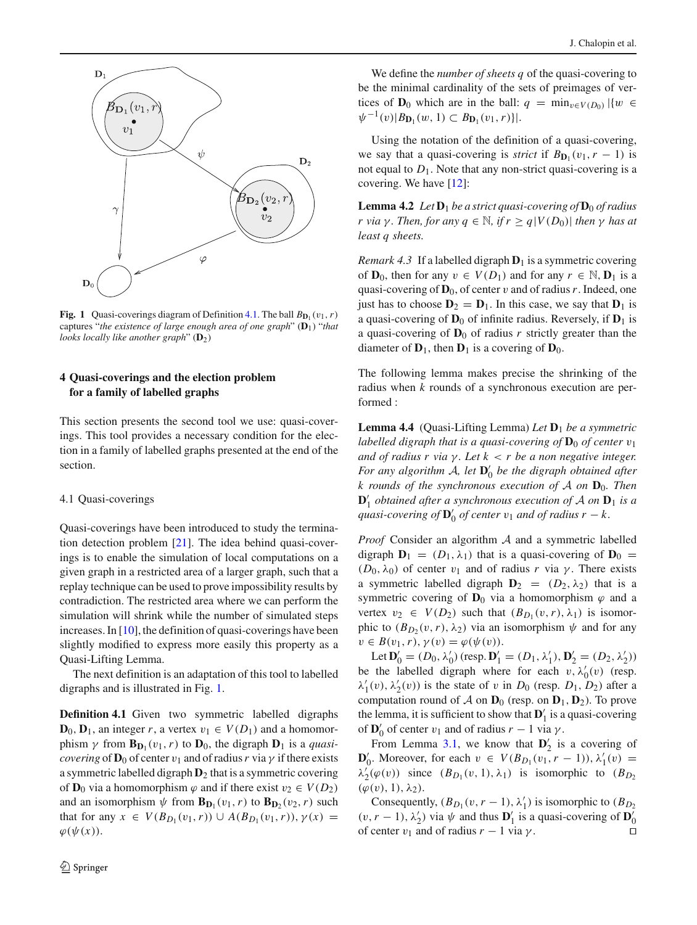

<span id="page-7-2"></span>**Fig. 1** Quasi-coverings diagram of Definition [4.1.](#page-7-1) The ball  $B_{\text{D}_1}(v_1, r)$ captures "*the existence of large enough area of one graph*" (**D**1) "*that looks locally like another graph*" (**D**2)

# <span id="page-7-0"></span>**4 Quasi-coverings and the election problem for a family of labelled graphs**

This section presents the second tool we use: quasi-coverings. This tool provides a necessary condition for the election in a family of labelled graphs presented at the end of the section.

#### 4.1 Quasi-coverings

Quasi-coverings have been introduced to study the termination detection problem [\[21](#page-14-7)]. The idea behind quasi-coverings is to enable the simulation of local computations on a given graph in a restricted area of a larger graph, such that a replay technique can be used to prove impossibility results by contradiction. The restricted area where we can perform the simulation will shrink while the number of simulated steps increases. In  $[10]$ , the definition of quasi-coverings have been slightly modified to express more easily this property as a Quasi-Lifting Lemma.

<span id="page-7-1"></span>The next definition is an adaptation of this tool to labelled digraphs and is illustrated in Fig. [1.](#page-7-2)

**Definition 4.1** Given two symmetric labelled digraphs  $\mathbf{D}_0$ ,  $\mathbf{D}_1$ , an integer *r*, a vertex  $v_1 \in V(D_1)$  and a homomorphism  $\gamma$  from  $\mathbf{B}_{\mathbf{D}_1}(v_1, r)$  to  $\mathbf{D}_0$ , the digraph  $\mathbf{D}_1$  is a *quasicovering* of  $D_0$  of center  $v_1$  and of radius r via  $\gamma$  if there exists a symmetric labelled digraph **D**<sup>2</sup> that is a symmetric covering of **D**<sub>0</sub> via a homomorphism  $\varphi$  and if there exist  $v_2 \in V(D_2)$ and an isomorphism  $\psi$  from  $\mathbf{B}_{\mathbf{D}_1}(v_1, r)$  to  $\mathbf{B}_{\mathbf{D}_2}(v_2, r)$  such that for any  $x \in V(B_{D_1}(v_1, r)) \cup A(B_{D_1}(v_1, r)), \gamma(x) =$  $\varphi(\psi(x)).$ 

We define the *number of sheets q* of the quasi-covering to be the minimal cardinality of the sets of preimages of vertices of **D**<sub>0</sub> which are in the ball:  $q = \min_{v \in V(D_0)} |\{w \in V(D_0)\}|$  $\psi^{-1}(v)|B_{\mathbf{D}_1}(w,1) \subset B_{\mathbf{D}_1}(v_1,r)$ .

Using the notation of the definition of a quasi-covering, we say that a quasi-covering is *strict* if  $B_{D_1}(v_1, r - 1)$  is not equal to  $D_1$ . Note that any non-strict quasi-covering is a covering. We have [\[12\]](#page-13-13):

<span id="page-7-4"></span>**Lemma 4.2** *Let*  $D_1$  *be a strict quasi-covering of*  $D_0$  *of radius r* via γ. Then, for any  $q \in \mathbb{N}$ , if  $r \geq q |V(D_0)|$  then γ has at *least q sheets.*

*Remark 4.3* If a labelled digraph  $D_1$  is a symmetric covering of **D**<sub>0</sub>, then for any  $v \in V(D_1)$  and for any  $r \in \mathbb{N}$ , **D**<sub>1</sub> is a quasi-covering of  $\mathbf{D}_0$ , of center v and of radius r. Indeed, one just has to choose  $D_2 = D_1$ . In this case, we say that  $D_1$  is a quasi-covering of  $D_0$  of infinite radius. Reversely, if  $D_1$  is a quasi-covering of  $D_0$  of radius *r* strictly greater than the diameter of  $\mathbf{D}_1$ , then  $\mathbf{D}_1$  is a covering of  $\mathbf{D}_0$ .

<span id="page-7-3"></span>The following lemma makes precise the shrinking of the radius when *k* rounds of a synchronous execution are performed :

**Lemma 4.4** (Quasi-Lifting Lemma) *Let* **D**<sup>1</sup> *be a symmetric labelled digraph that is a quasi-covering of*  $D_0$  *of center*  $v_1$ *and of radius r via* γ *. Let k* < *r be a non negative integer. For any algorithm A, let*  $\mathbf{D}'_0$  *be the digraph obtained after k rounds of the synchronous execution of* A *on* **D**0*. Then*  $\mathbf{D}'_1$  *obtained after a synchronous execution of*  $\mathcal A$  *on*  $\mathbf{D}_1$  *is a quasi-covering of*  $\mathbf{D}'_0$  *of center*  $v_1$  *and of radius*  $r - k$ .

*Proof* Consider an algorithm A and a symmetric labelled digraph  $D_1 = (D_1, \lambda_1)$  that is a quasi-covering of  $D_0 =$ ( $D_0$ ,  $\lambda_0$ ) of center  $v_1$  and of radius *r* via  $\gamma$ . There exists a symmetric labelled digraph  $D_2 = (D_2, \lambda_2)$  that is a symmetric covering of  $D_0$  via a homomorphism  $\varphi$  and a vertex  $v_2 \in V(D_2)$  such that  $(B_{D_1}(v, r), \lambda_1)$  is isomorphic to  $(B_{D_2}(v, r), \lambda_2)$  via an isomorphism  $\psi$  and for any  $v \in B(v_1, r), \gamma(v) = \varphi(\psi(v)).$ 

Let  $\mathbf{D}'_0 = (D_0, \lambda'_0)$  (resp.  $\mathbf{D}'_1 = (D_1, \lambda'_1), \mathbf{D}'_2 = (D_2, \lambda'_2)$ ) be the labelled digraph where for each  $v, \lambda'_0(v)$  (resp.  $\lambda'_1(v), \lambda'_2(v)$  is the state of v in  $D_0$  (resp.  $D_1, D_2$ ) after a computation round of  $A$  on  $D_0$  (resp. on  $D_1$ ,  $D_2$ ). To prove the lemma, it is sufficient to show that  $\mathbf{D}'_1$  is a quasi-covering of  $\mathbf{D}'_0$  of center  $v_1$  and of radius  $r - 1$  via  $\gamma$ .

From Lemma [3.1,](#page-4-3) we know that  $\mathbf{D}'_2$  is a covering of **D**<sup> $'$ </sup><sub>0</sub>. Moreover, for each *v* ∈ *V*(*B*<sub>*D*<sub>1</sub></sub>(*v*<sub>1</sub>, *r* − 1)),  $\lambda'$ <sub>1</sub>(*v*) =  $\lambda'_2(\varphi(v))$  since  $(B_{D_1}(v, 1), \lambda_1)$  is isomorphic to  $(B_{D_2})$  $(\varphi(v), 1), \lambda_2$ ).

Consequently,  $(B_{D_1}(v, r-1), \lambda'_1)$  is isomorphic to  $(B_{D_2})$  $(v, r - 1)$ ,  $\lambda'_2$ ) via  $\psi$  and thus **D**'<sub>1</sub> is a quasi-covering of **D**'<sub>0</sub> of center  $v_1$  and of radius  $r - 1$  via  $\gamma$ .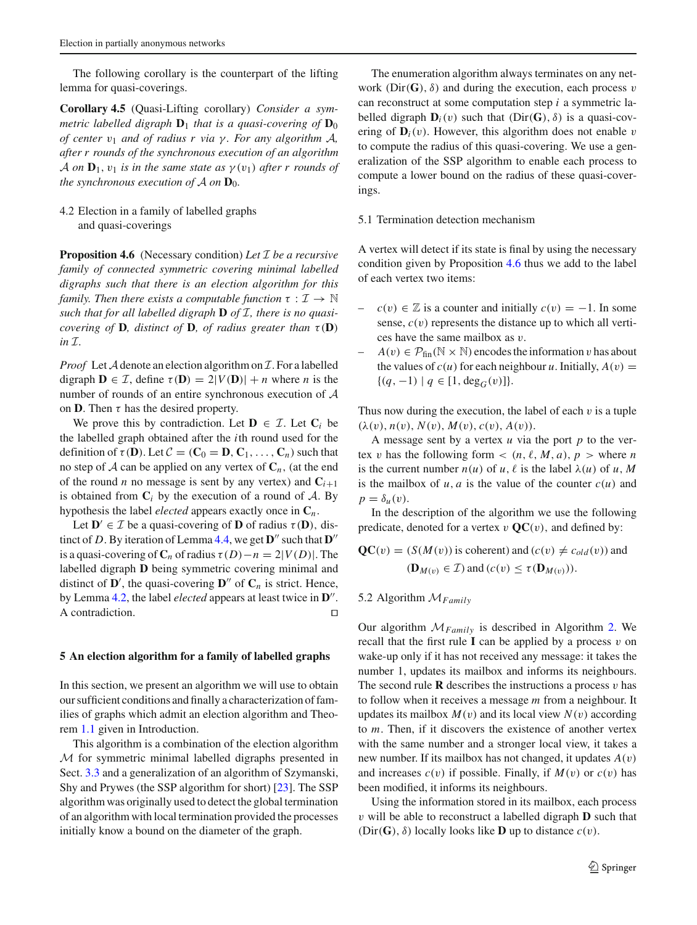The following corollary is the counterpart of the lifting lemma for quasi-coverings.

**Corollary 4.5** (Quasi-Lifting corollary) *Consider a symmetric labelled digraph*  $D_1$  *that is a quasi-covering of*  $D_0$ *of center* v<sup>1</sup> *and of radius r via* γ *. For any algorithm* A*, after r rounds of the synchronous execution of an algorithm* A *on*  $\mathbf{D}_1$ ,  $v_1$  *is in the same state as*  $\gamma(v_1)$  *after r rounds of the synchronous execution of*  $A$  *on*  $D_0$ *.* 

# 4.2 Election in a family of labelled graphs and quasi-coverings

<span id="page-8-1"></span>**Proposition 4.6** (Necessary condition) *Let* I *be a recursive family of connected symmetric covering minimal labelled digraphs such that there is an election algorithm for this family. Then there exists a computable function*  $\tau : \mathcal{I} \to \mathbb{N}$ *such that for all labelled digraph* **D** *of* I*, there is no quasicovering of* **D***, distinct of* **D***, of radius greater than*  $\tau$  (**D**)  $in \mathcal{I}$ .

*Proof* Let  $A$  denote an election algorithm on  $I$ . For a labelled digraph  $\mathbf{D} \in \mathcal{I}$ , define  $\tau(\mathbf{D}) = 2|V(\mathbf{D})| + n$  where *n* is the number of rounds of an entire synchronous execution of A on **D**. Then  $\tau$  has the desired property.

We prove this by contradiction. Let  $\mathbf{D} \in \mathcal{I}$ . Let  $\mathbf{C}_i$  be the labelled graph obtained after the *i*th round used for the definition of  $\tau(\mathbf{D})$ . Let  $C = (\mathbf{C}_0 = \mathbf{D}, \mathbf{C}_1, \dots, \mathbf{C}_n)$  such that no step of  $\mathcal A$  can be applied on any vertex of  $\mathcal C_n$ , (at the end of the round *n* no message is sent by any vertex) and  $C_{i+1}$ is obtained from  $C_i$  by the execution of a round of  $A$ . By hypothesis the label *elected* appears exactly once in **C***n*.

Let  $\mathbf{D}' \in \mathcal{I}$  be a quasi-covering of **D** of radius  $\tau(\mathbf{D})$ , distinct of *D*. By iteration of Lemma [4.4,](#page-7-3) we get  $\mathbf{D}^{\prime\prime}$  such that  $\mathbf{D}^{\prime\prime}$ is a quasi-covering of  $C_n$  of radius  $\tau(D)-n = 2|V(D)|$ . The labelled digraph **D** being symmetric covering minimal and distinct of  $\mathbf{D}'$ , the quasi-covering  $\mathbf{D}''$  of  $\mathbf{C}_n$  is strict. Hence, by Lemma [4.2,](#page-7-4) the label *elected* appears at least twice in  $\mathbf{D}^{\prime\prime}$ . A contradiction.  $\Box$ 

#### <span id="page-8-0"></span>**5 An election algorithm for a family of labelled graphs**

In this section, we present an algorithm we will use to obtain our sufficient conditions and finally a characterization of families of graphs which admit an election algorithm and Theorem [1.1](#page-2-0) given in Introduction.

This algorithm is a combination of the election algorithm M for symmetric minimal labelled digraphs presented in Sect. [3.3](#page-4-1) and a generalization of an algorithm of Szymanski, Shy and Prywes (the SSP algorithm for short) [\[23\]](#page-14-6). The SSP algorithm was originally used to detect the global termination of an algorithm with local termination provided the processes initially know a bound on the diameter of the graph.

The enumeration algorithm always terminates on any network ( $Dir(G)$ ,  $\delta$ ) and during the execution, each process v can reconstruct at some computation step *i* a symmetric labelled digraph  $D_i(v)$  such that  $(Dir(G), \delta)$  is a quasi-covering of  $\mathbf{D}_i(v)$ . However, this algorithm does not enable v to compute the radius of this quasi-covering. We use a generalization of the SSP algorithm to enable each process to compute a lower bound on the radius of these quasi-coverings.

## 5.1 Termination detection mechanism

A vertex will detect if its state is final by using the necessary condition given by Proposition [4.6](#page-8-1) thus we add to the label of each vertex two items:

- $c(v) \in \mathbb{Z}$  is a counter and initially  $c(v) = -1$ . In some sense,  $c(v)$  represents the distance up to which all vertices have the same mailbox as v.
- $A(v) \in \mathcal{P}_{fin}(\mathbb{N} \times \mathbb{N})$  encodes the information v has about the values of  $c(u)$  for each neighbour *u*. Initially,  $A(v) =$ { $(q, -1) | q ∈ [1, deg<sub>G</sub>(v)]$ }.

Thus now during the execution, the label of each  $v$  is a tuple  $(\lambda(v), n(v), N(v), M(v), c(v), A(v)).$ 

A message sent by a vertex *u* via the port *p* to the vertex v has the following form  $\lt (n, \ell, M, a)$ ,  $p >$  where *n* is the current number  $n(u)$  of  $u, \ell$  is the label  $\lambda(u)$  of  $u, M$ is the mailbox of  $u$ ,  $a$  is the value of the counter  $c(u)$  and  $p = \delta_u(v)$ .

In the description of the algorithm we use the following predicate, denoted for a vertex  $v \mathbf{QC}(v)$ , and defined by:

$$
\mathbf{QC}(v) = (S(M(v)) \text{ is coherent}) \text{ and } (c(v) \neq c_{old}(v)) \text{ and}
$$
  

$$
(\mathbf{D}_{M(v)} \in \mathcal{I}) \text{ and } (c(v) \leq \tau(\mathbf{D}_{M(v)})).
$$

# 5.2 Algorithm M*Family*

Our algorithm M*Family* is described in Algorithm [2.](#page-9-0) We recall that the first rule  $\bf{I}$  can be applied by a process  $v$  on wake-up only if it has not received any message: it takes the number 1, updates its mailbox and informs its neighbours. The second rule **R** describes the instructions a process  $v$  has to follow when it receives a message *m* from a neighbour. It updates its mailbox  $M(v)$  and its local view  $N(v)$  according to *m*. Then, if it discovers the existence of another vertex with the same number and a stronger local view, it takes a new number. If its mailbox has not changed, it updates *A*(v) and increases  $c(v)$  if possible. Finally, if  $M(v)$  or  $c(v)$  has been modified, it informs its neighbours.

Using the information stored in its mailbox, each process v will be able to reconstruct a labelled digraph **D** such that (Dir(**G**),  $\delta$ ) locally looks like **D** up to distance  $c(v)$ .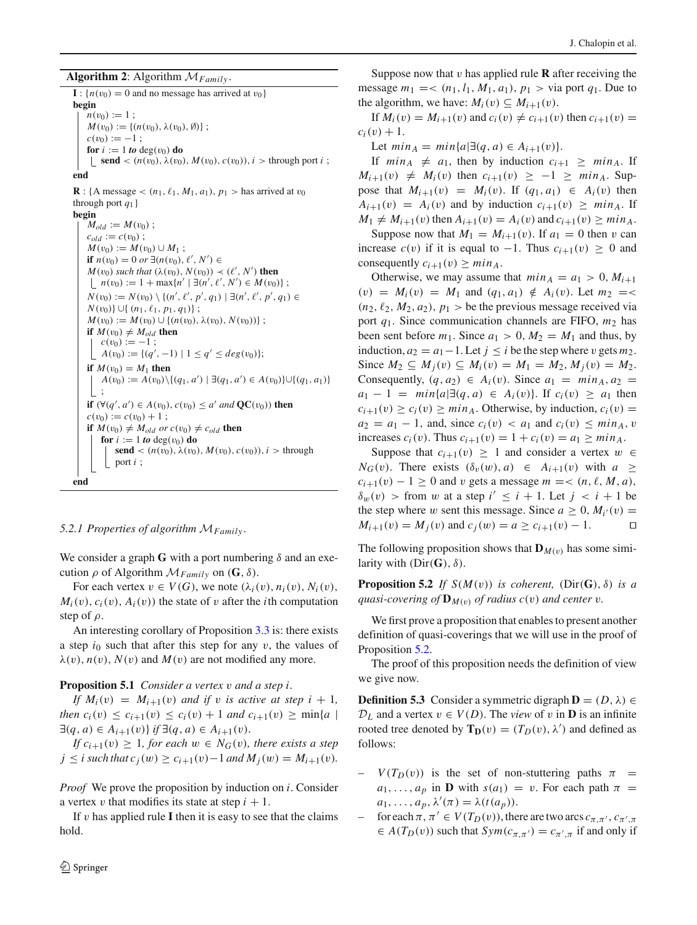<span id="page-9-0"></span>**Algorithm 2**: Algorithm  $M_{Family}$ .

 $\mathbf{I}$  :  $\{n(v_0) = 0$  and no message has arrived at  $v_0$ } **begin**  $n(v_0) := 1$ ;  $M(v_0) := \{(n(v_0), \lambda(v_0), \emptyset)\};$  $c(v_0) := -1$ ; **for**  $i := 1$  *to* deg( $v_0$ ) **do**  $\{ \text{send} < (n(v_0), \lambda(v_0), M(v_0), c(v_0)), i > \text{through port } i \}$ **end R** : {A message <  $(n_1, \ell_1, M_1, a_1)$ ,  $p_1$  > has arrived at  $v_0$ through port  $q_1$ } **begin**  $M_{old} := M(v_0)$ ;  $c_{old} := c(v_0)$ ;  $M(v_0) := M(v_0) \cup M_1;$ **if**  $n(v_0) = 0$  or ∃( $n(v_0)$ ,  $\ell'$ ,  $N'$ ) ∈  $M(v_0)$  *such that*  $(\lambda(v_0), N(v_0)) \prec (\ell', N')$  **then**  $n(v_0) := 1 + \max\{n' \mid \exists (n', \ell', N') \in M(v_0)\};$ *N*(*v*<sub>0</sub>) := *N*(*v*<sub>0</sub>)  $\setminus$  {(*n'*,  $\ell'$ , *p'*, *q*<sub>1</sub>) | ∃(*n'*,  $\ell'$ , *p'*, *q*<sub>1</sub>) ∈ *N*(*v*<sub>0</sub>)}∪{  $(n_1, l_1, p_1, q_1)$ };  $M(v_0) := M(v_0) \cup \{(n(v_0), \lambda(v_0), N(v_0))\};$ **if**  $M(v_0) \neq M_{old}$  **then**  $c(v_0) := -1$ ;  $A(v_0) := \{(q', -1) \mid 1 \le q' \le deg(v_0)\};$ **if**  $M(v_0) = M_1$  **then** *A*(*v*<sub>0</sub>) := *A*(*v*<sub>0</sub>) \{(*q*<sub>1</sub>, *a'*) | ∃(*q*<sub>1</sub>, *a'*) ∈ *A*(*v*<sub>0</sub>)}∪{(*q*<sub>1</sub>, *a*<sub>1</sub>)} ; **if**  $(∀(q', a') ∈ A(v_0), c(v_0) ≤ a' and **QC**(v_0))$  **then**  $c(v_0) := c(v_0) + 1$ ; **if**  $M(v_0) \neq M_{old}$  *or*  $c(v_0) \neq c_{old}$  **then for**  $i := 1$  *to* deg( $v_0$ ) **do send** <  $(n(v_0), \lambda(v_0), M(v_0), c(v_0)), i >$  through port *i* ; **end**

## *5.2.1 Properties of algorithm* M*Family* .

We consider a graph **G** with a port numbering  $\delta$  and an execution ρ of Algorithm M*Family* on (**G**, δ).

For each vertex  $v \in V(G)$ , we note  $(\lambda_i(v), n_i(v), N_i(v))$ ,  $M_i(v)$ ,  $c_i(v)$ ,  $A_i(v)$  the state of v after the *i*th computation step of  $\rho$ .

An interesting corollary of Proposition [3.3](#page-5-1) is: there exists a step  $i_0$  such that after this step for any  $v$ , the values of  $\lambda(v)$ ,  $n(v)$ ,  $N(v)$  and  $M(v)$  are not modified any more.

#### **Proposition 5.1** *Consider a vertex* v *and a step i.*

*If*  $M_i(v) = M_{i+1}(v)$  *and if v is active at step i* + 1*, then*  $c_i(v) \leq c_{i+1}(v) \leq c_i(v) + 1$  *and*  $c_{i+1}(v) \geq \min\{a \mid v\}$ ∃(*q*, *a*) ∈ *Ai*+1(v)} *if* ∃(*q*, *a*) ∈ *Ai*+1(v).

*If*  $c_{i+1}(v) \geq 1$ *, for each*  $w \in N_G(v)$ *, there exists a step j* ≤ *i* such that  $c_j(w)$  ≥  $c_{i+1}(v)$  − 1 and  $M_j(w) = M_{i+1}(v)$ .

*Proof* We prove the proposition by induction on *i*. Consider a vertex v that modifies its state at step  $i + 1$ .

If  $v$  has applied rule **I** then it is easy to see that the claims hold.

Suppose now that  $v$  has applied rule **R** after receiving the message  $m_1 = \langle (n_1, l_1, M_1, a_1), p_1 \rangle$  via port  $q_1$ . Due to the algorithm, we have:  $M_i(v) \subseteq M_{i+1}(v)$ .

If  $M_i(v) = M_{i+1}(v)$  and  $c_i(v) \neq c_{i+1}(v)$  then  $c_{i+1}(v) =$  $c_i(v) + 1.$ 

Let  $min_A = min{a | \exists (q, a) \in A_{i+1}(v)}.$ 

If  $min_A \neq a_1$ , then by induction  $c_{i+1} \geq min_A$ . If  $M_{i+1}(v) \neq M_i(v)$  then  $c_{i+1}(v) \geq -1 \geq min_A$ . Suppose that  $M_{i+1}(v) = M_i(v)$ . If  $(q_1, a_1) \in A_i(v)$  then  $A_{i+1}(v) = A_i(v)$  and by induction  $c_{i+1}(v) \geq min_A$ . If  $M_1 \neq M_{i+1}(v)$  then  $A_{i+1}(v) = A_i(v)$  and  $c_{i+1}(v) \geq min_A$ .

Suppose now that  $M_1 = M_{i+1}(v)$ . If  $a_1 = 0$  then v can increase  $c(v)$  if it is equal to −1. Thus  $c_{i+1}(v) \ge 0$  and consequently  $c_{i+1}(v) \geq min_A$ .

Otherwise, we may assume that  $min_A = a_1 > 0, M_{i+1}$  $(v) = M_i(v) = M_1$  and  $(q_1, a_1) \notin A_i(v)$ . Let  $m_2 = \leq$  $(n_2, \ell_2, M_2, a_2), p_1 >$  be the previous message received via port *q*1. Since communication channels are FIFO, *m*<sup>2</sup> has been sent before  $m_1$ . Since  $a_1 > 0$ ,  $M_2 = M_1$  and thus, by induction,  $a_2 = a_1 - 1$ . Let  $j ≤ i$  be the step where v gets  $m_2$ . Since  $M_2$  ⊆  $M_j(v)$  ⊆  $M_i(v) = M_1 = M_2$ ,  $M_j(v) = M_2$ . Consequently,  $(q, a_2) \in A_i(v)$ . Since  $a_1 = min_A, a_2 =$  $a_1 - 1 = min{a | \exists (q, a) \in A_i(v) }$ . If  $c_i(v) \ge a_1$  then  $c_{i+1}(v) \geq c_i(v) \geq min_A$ . Otherwise, by induction,  $c_i(v)$  $a_2 = a_1 - 1$ , and, since  $c_i(v) < a_1$  and  $c_i(v) \leq min_A$ , v increases  $c_i(v)$ . Thus  $c_{i+1}(v) = 1 + c_i(v) = a_1 \geq min_A$ .

Suppose that  $c_{i+1}(v) \geq 1$  and consider a vertex  $w \in$  $N_G(v)$ . There exists  $(\delta_v(w), a) \in A_{i+1}(v)$  with  $a \geq$  $c_{i+1}(v) - 1 \ge 0$  and v gets a message  $m = < (n, \ell, M, a)$ ,  $\delta_w(v)$  > from w at a step  $i' \leq i + 1$ . Let  $j < i + 1$  be the step where w sent this message. Since  $a \geq 0$ ,  $M_{i}(v) =$ *M*<sub>*i*+1</sub>(*v*) = *M*<sub>*j*</sub>(*v*) and *c*<sub>*j*</sub>(*w*) = *a* ≥ *c*<sub>*i*+1</sub>(*v*) − 1.  $\Box$ 

<span id="page-9-1"></span>The following proposition shows that  $\mathbf{D}_{M(v)}$  has some similarity with  $(Dir(G), \delta)$ .

**Proposition 5.2** *If*  $S(M(v))$  *is coherent,*  $(Dir(G), \delta)$  *is a quasi-covering of*  $\mathbf{D}_{M(v)}$  *of radius c(v) and center v.* 

We first prove a proposition that enables to present another definition of quasi-coverings that we will use in the proof of Proposition [5.2.](#page-9-1)

<span id="page-9-2"></span>The proof of this proposition needs the definition of view we give now.

**Definition 5.3** Consider a symmetric digraph  $\mathbf{D} = (D, \lambda) \in$  $D_L$  and a vertex  $v \in V(D)$ . The *view* of v in **D** is an infinite rooted tree denoted by  $\mathbf{T_D}(v) = (T_D(v), \lambda')$  and defined as follows:

- $V(T_D(v))$  is the set of non-stuttering paths  $\pi$  =  $a_1, \ldots, a_p$  in **D** with  $s(a_1) = v$ . For each path  $\pi =$  $a_1, \ldots, a_p, \lambda'(\pi) = \lambda(t(a_p)).$
- $\tau$  for each  $\pi$ ,  $\pi' \in V(T_D(v))$ , there are two arcs  $c_{\pi,\pi'}$ ,  $c_{\pi',\pi}$  $\in A(T_D(v))$  such that  $Sym(c_{\pi,\pi'}) = c_{\pi',\pi}$  if and only if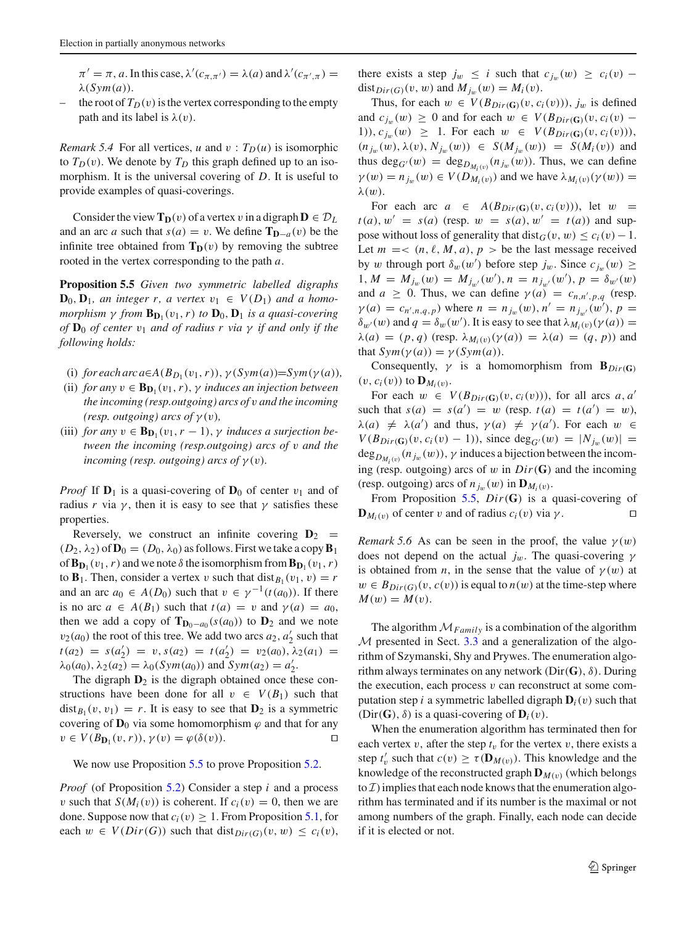$\pi' = \pi$ , *a*. In this case,  $\lambda'(c_{\pi,\pi'}) = \lambda(a)$  and  $\lambda'(c_{\pi',\pi}) =$ λ(*Sym*(*a*)).

– the root of  $T_D(v)$  is the vertex corresponding to the empty path and its label is  $\lambda(v)$ .

*Remark 5.4* For all vertices, *u* and  $v : T_D(u)$  is isomorphic to  $T_D(v)$ . We denote by  $T_D$  this graph defined up to an isomorphism. It is the universal covering of *D*. It is useful to provide examples of quasi-coverings.

Consider the view  $\mathbf{T_D}(v)$  of a vertex v in a digraph  $\mathbf{D} \in \mathcal{D}_L$ and an arc *a* such that  $s(a) = v$ . We define  $\mathbf{T}_{\mathbf{D}-a}(v)$  be the infinite tree obtained from  $T_D(v)$  by removing the subtree rooted in the vertex corresponding to the path *a*.

<span id="page-10-0"></span>**Proposition 5.5** *Given two symmetric labelled digraphs*  $\mathbf{D}_0$ ,  $\mathbf{D}_1$ *, an integer r, a vertex*  $v_1 \in V(D_1)$  *and a homomorphism*  $\gamma$  *from*  $\mathbf{B}_{\mathbf{D}_1}(v_1, r)$  *to*  $\mathbf{D}_0$ ,  $\mathbf{D}_1$  *is a quasi-covering of*  $D_0$  *of center*  $v_1$  *and of radius r via*  $\gamma$  *if and only if the following holds:*

- (i) *for each arc a*∈ $A(B_{D_1}(v_1, r))$ ,  $\gamma(Sym(a))=Sym(\gamma(a))$ ,
- (ii) *for any*  $v \in B_{D_1}(v_1, r)$ ,  $\gamma$  *induces an injection between the incoming (resp.outgoing) arcs of* v *and the incoming (resp. outgoing) arcs of*  $\gamma(v)$ *,*
- (iii) *for any*  $v \in \mathbf{B}_{\mathbf{D}_1}(v_1, r-1)$ ,  $\gamma$  *induces a surjection between the incoming (resp.outgoing) arcs of* v *and the incoming (resp. outgoing) arcs of*  $\gamma(v)$ *.*

*Proof* If  $D_1$  is a quasi-covering of  $D_0$  of center  $v_1$  and of radius *r* via  $\gamma$ , then it is easy to see that  $\gamma$  satisfies these properties.

Reversely, we construct an infinite covering  $D_2$  =  $(D_2, \lambda_2)$  of  $\mathbf{D}_0 = (D_0, \lambda_0)$  as follows. First we take a copy  $\mathbf{B}_1$ of  $\mathbf{B}_{\mathbf{D}_1}(v_1, r)$  and we note  $\delta$  the isomorphism from  $\mathbf{B}_{\mathbf{D}_1}(v_1, r)$ to  $\mathbf{B}_1$ . Then, consider a vertex v such that  $dist_{B_1}(v_1, v) = r$ and an arc  $a_0 \in A(D_0)$  such that  $v \in \gamma^{-1}(t(a_0))$ . If there is no arc  $a \in A(B_1)$  such that  $t(a) = v$  and  $\gamma(a) = a_0$ , then we add a copy of  $\mathbf{T}_{\mathbf{D}_0 - a_0}(s(a_0))$  to  $\mathbf{D}_2$  and we note  $v_2(a_0)$  the root of this tree. We add two arcs  $a_2$ ,  $a'_2$  such that  $t(a_2) = s(a'_2) = v, s(a_2) = t(a'_2) = v_2(a_0), \lambda_2(a_1) =$  $\lambda_0(a_0), \lambda_2(a_2) = \lambda_0(Sym(a_0))$  and  $Sym(a_2) = a'_2$ .

The digraph  $D_2$  is the digraph obtained once these constructions have been done for all  $v \in V(B_1)$  such that  $dist_{B_1}(v, v_1) = r$ . It is easy to see that  $D_2$  is a symmetric covering of  $D_0$  via some homomorphism  $\varphi$  and that for any  $v \in V(B_{\mathbf{D}_1}(v,r)), \gamma(v) = \varphi(\delta(v)).$ 

We now use Proposition [5.5](#page-10-0) to prove Proposition [5.2.](#page-9-1)

*Proof* (of Proposition [5.2\)](#page-9-1) Consider a step *i* and a process v such that  $S(M_i(v))$  is coherent. If  $c_i(v) = 0$ , then we are done. Suppose now that  $c_i(v) \geq 1$ . From Proposition [5.1,](#page-9-2) for each  $w \in V(Dir(G))$  such that dist<sub> $Dir(G)(v, w) \leq c_i(v)$ ,</sub>

there exists a step  $j_w \leq i$  such that  $c_{j_w}(w) \geq c_i(v)$  – dist<sub>*Dir*(*G*)(*v*, *w*) and  $M_{j_w}(w) = M_i(v)$ .</sub>

Thus, for each  $w \in V(B_{Dir(G)}(v, c_i(v))), j_w$  is defined and  $c_{j_w}(w) \ge 0$  and for each  $w \in V(B_{Dir(G)}(v, c_i(v) -$ 1)),  $c_{j_w}(w) \ge 1$ . For each  $w \in V(B_{Dir(G)}(v, c_i(v))),$  $(n_{j_w}(w), \lambda(v), N_{j_w}(w))$  ∈  $S(M_{j_w}(w)) = S(M_i(v))$  and thus deg<sub>*G'*</sub>(*w*) = deg<sub>*D<sub>M:(<i>v*)</sub></sub> ( $n_{j_w}(n_j(w))$ ). Thus, we can define</sub>  $\gamma(w) = n_{j_w}(w) \in V(D_{M_i(v)})$  and we have  $\lambda_{M_i(v)}(\gamma(w)) =$  $λ(w)$ .

For each arc  $a \in A(B_{Dir(G)}(v, c_i(v)))$ , let  $w =$  $t(a)$ ,  $w' = s(a)$  (resp.  $w = s(a)$ ,  $w' = t(a)$ ) and suppose without loss of generality that dist<sub>*G*</sub>(v, w)  $\leq c_i(v) - 1$ . Let  $m = < (n, \ell, M, a), p >$  be the last message received by w through port  $\delta_w(w')$  before step  $j_w$ . Since  $c_{j_w}(w) \ge$  $1, M = M_{j_w}(w) = M_{j_{w'}}(w'), n = n_{j_{w'}}(w'), p = \delta_{w'}(w)$ and  $a \geq 0$ . Thus, we can define  $\gamma(a) = c_{n,n',p,q}$  (resp.  $\gamma(a) = c_{n',n,q,p}$  where  $n = n_{j_w}(w), n' = n_{j_{w'}}(w'), p =$  $\delta_{w'}(w)$  and  $q = \delta_w(w')$ . It is easy to see that  $\lambda_{M_i(v)}(\gamma(a)) =$  $\lambda(a) = (p, q)$  (resp.  $\lambda_{M_i(v)}(\gamma(a)) = \lambda(a) = (q, p)$ ) and that  $Sym(\gamma(a)) = \gamma(Sym(a)).$ 

Consequently,  $\gamma$  is a homomorphism from  $\mathbf{B}_{Dir(G)}$  $(v, c_i(v))$  to  $\mathbf{D}_{M_i(v)}$ .

For each  $w \in V(B_{Dir(G)}(v, c_i(v)))$ , for all arcs *a*, *a'* such that  $s(a) = s(a') = w$  (resp.  $t(a) = t(a') = w$ ),  $\lambda(a) \neq \lambda(a')$  and thus,  $\gamma(a) \neq \gamma(a')$ . For each  $w \in$  $V(B_{Dir(G)}(v, c_i(v) - 1))$ , since deg<sub>*G'*</sub> $(w) = |N_{j_w}(w)| =$  $deg_{D_{M_i(v)}}(n_{j_w}(w))$ ,  $\gamma$  induces a bijection between the incoming (resp. outgoing) arcs of w in *Dir*(**G**) and the incoming (resp. outgoing) arcs of  $n_{j_w}(w)$  in  $\mathbf{D}_{M_i(v)}$ .

From Proposition [5.5,](#page-10-0) *Dir*(**G**) is a quasi-covering of  $\mathbf{D}_{M_i(v)}$  of center v and of radius  $c_i(v)$  via  $\gamma$ .

*Remark* 5.6 As can be seen in the proof, the value  $\gamma(w)$ does not depend on the actual  $j_w$ . The quasi-covering  $\gamma$ is obtained from *n*, in the sense that the value of  $\gamma(w)$  at  $w \in B_{Dir(G)}(v, c(v))$  is equal to  $n(w)$  at the time-step where  $M(w) = M(v).$ 

The algorithm  $M_{Family}$  is a combination of the algorithm  $M$  presented in Sect. [3.3](#page-4-1) and a generalization of the algorithm of Szymanski, Shy and Prywes. The enumeration algorithm always terminates on any network  $(Dir(G), \delta)$ . During the execution, each process  $v$  can reconstruct at some computation step *i* a symmetric labelled digraph  $D_i(v)$  such that (Dir(**G**),  $\delta$ ) is a quasi-covering of  $\mathbf{D}_i(v)$ .

When the enumeration algorithm has terminated then for each vertex  $v$ , after the step  $t<sub>v</sub>$  for the vertex  $v$ , there exists a step  $t'_v$  such that  $c(v) \ge \tau(\mathbf{D}_{M(v)})$ . This knowledge and the knowledge of the reconstructed graph  $\mathbf{D}_{M(v)}$  (which belongs to  $\mathcal I$ ) implies that each node knows that the enumeration algorithm has terminated and if its number is the maximal or not among numbers of the graph. Finally, each node can decide if it is elected or not.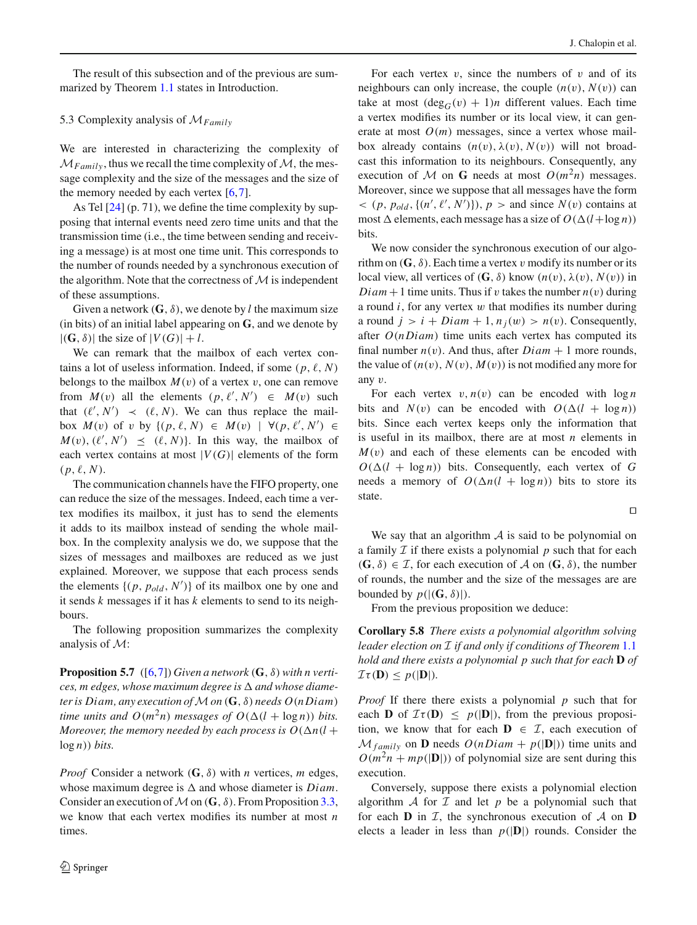The result of this subsection and of the previous are summarized by Theorem [1.1](#page-2-0) states in Introduction.

# 5.3 Complexity analysis of M*Family*

We are interested in characterizing the complexity of  $\mathcal{M}_{Family}$ , thus we recall the time complexity of  $\mathcal{M}$ , the message complexity and the size of the messages and the size of the memory needed by each vertex [\[6,](#page-13-12)[7\]](#page-13-4).

As Tel  $[24]$  $[24]$  (p. 71), we define the time complexity by supposing that internal events need zero time units and that the transmission time (i.e., the time between sending and receiving a message) is at most one time unit. This corresponds to the number of rounds needed by a synchronous execution of the algorithm. Note that the correctness of  $M$  is independent of these assumptions.

Given a network  $(G, \delta)$ , we denote by *l* the maximum size (in bits) of an initial label appearing on **G**, and we denote by  $|(\mathbf{G}, \delta)|$  the size of  $|V(G)| + l$ .

We can remark that the mailbox of each vertex contains a lot of useless information. Indeed, if some  $(p, \ell, N)$ belongs to the mailbox  $M(v)$  of a vertex v, one can remove from  $M(v)$  all the elements  $(p, \ell', N') \in M(v)$  such that  $(\ell', N') \prec (\ell, N)$ . We can thus replace the mailbox  $M(v)$  of v by  $\{(p, \ell, N) \in M(v) \mid \forall (p, \ell', N') \in$  $M(v)$ ,  $(\ell', N') \leq (\ell, N)$ . In this way, the mailbox of each vertex contains at most  $|V(G)|$  elements of the form  $(p, \ell, N)$ .

The communication channels have the FIFO property, one can reduce the size of the messages. Indeed, each time a vertex modifies its mailbox, it just has to send the elements it adds to its mailbox instead of sending the whole mailbox. In the complexity analysis we do, we suppose that the sizes of messages and mailboxes are reduced as we just explained. Moreover, we suppose that each process sends the elements  $\{(p, p_{old}, N')\}$  of its mailbox one by one and it sends *k* messages if it has *k* elements to send to its neighbours.

The following proposition summarizes the complexity analysis of M:

**Proposition 5.7** ([\[6,](#page-13-12)[7\]](#page-13-4)) *Given a network* ( $\mathbf{G}$ ,  $\delta$ ) *with n vertices, m edges, whose maximum degree is* + *and whose diameter is Diam, any execution of*M*on* (**G**, δ) *needs O*(*n Diam*) *time units and*  $O(m^2n)$  *messages of*  $O(\Delta(l + \log n))$  *bits. Moreover, the memory needed by each process is*  $O(\Delta n(l +$ log *n*)) *bits.*

*Proof* Consider a network (**G**, δ) with *n* vertices, *m* edges, whose maximum degree is  $\Delta$  and whose diameter is *Diam*. Consider an execution of  $M$  on  $(G, \delta)$ . From Proposition [3.3,](#page-5-1) we know that each vertex modifies its number at most *n* times.

For each vertex  $v$ , since the numbers of  $v$  and of its neighbours can only increase, the couple  $(n(v), N(v))$  can take at most  $(\deg_G(v) + 1)n$  different values. Each time a vertex modifies its number or its local view, it can generate at most  $O(m)$  messages, since a vertex whose mailbox already contains  $(n(v), \lambda(v), N(v))$  will not broadcast this information to its neighbours. Consequently, any execution of M on **G** needs at most  $O(m^2n)$  messages. Moreover, since we suppose that all messages have the form  $\langle (p, p_{old}, \{(n', \ell', N')\}), p \rangle$  and since  $N(v)$  contains at most  $\Delta$  elements, each message has a size of  $O(\Delta(l + \log n))$ bits.

We now consider the synchronous execution of our algorithm on  $(G, \delta)$ . Each time a vertex v modify its number or its local view, all vertices of  $(G, \delta)$  know  $(n(v), \lambda(v), N(v))$  in *Diam* + 1 time units. Thus if v takes the number  $n(v)$  during a round  $i$ , for any vertex  $w$  that modifies its number during a round  $j > i + Diam + 1$ ,  $n_i(w) > n(v)$ . Consequently, after *O*(*n Diam*) time units each vertex has computed its final number  $n(v)$ . And thus, after  $Diam + 1$  more rounds, the value of  $(n(v), N(v), M(v))$  is not modified any more for any v.

For each vertex  $v, n(v)$  can be encoded with  $\log n$ bits and  $N(v)$  can be encoded with  $O(\Delta(l + \log n))$ bits. Since each vertex keeps only the information that is useful in its mailbox, there are at most *n* elements in  $M(v)$  and each of these elements can be encoded with  $O(\Delta(l + \log n))$  bits. Consequently, each vertex of *G* needs a memory of  $O(\Delta n(l + \log n))$  bits to store its state.

 $\Box$ 

We say that an algorithm  $A$  is said to be polynomial on a family  $\mathcal I$  if there exists a polynomial  $p$  such that for each  $(G, \delta) \in \mathcal{I}$ , for each execution of A on  $(G, \delta)$ , the number of rounds, the number and the size of the messages are are bounded by  $p(|(\mathbf{G}, \delta)|)$ .

From the previous proposition we deduce:

**Corollary 5.8** *There exists a polynomial algorithm solving leader election on* I *if and only if conditions of Theorem* [1.1](#page-2-0) *hold and there exists a polynomial p such that for each* **D** *of*  $\mathcal{I}\tau(\mathbf{D}) \leq p(|\mathbf{D}|)$ .

*Proof* If there there exists a polynomial *p* such that for each **D** of  $\mathcal{I}\tau(\mathbf{D}) \leq p(|\mathbf{D}|)$ , from the previous proposition, we know that for each  $\mathbf{D} \in \mathcal{I}$ , each execution of  $\mathcal{M}_{family}$  on **D** needs  $O(nDiam + p(|\mathbf{D}|))$  time units and  $O(m^2n + mp(|\mathbf{D}|))$  of polynomial size are sent during this execution.

Conversely, suppose there exists a polynomial election algorithm  $\mathcal A$  for  $\mathcal I$  and let  $p$  be a polynomial such that for each **D** in  $I$ , the synchronous execution of  $A$  on **D** elects a leader in less than  $p(|D|)$  rounds. Consider the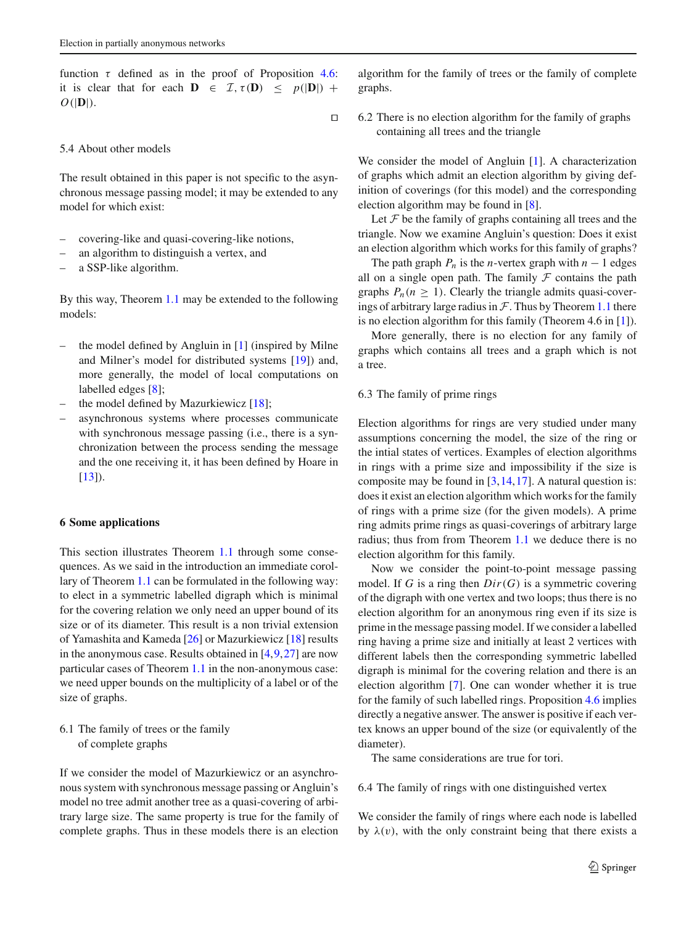function  $\tau$  defined as in the proof of Proposition [4.6:](#page-8-1) it is clear that for each  $\mathbf{D} \in \mathcal{I}, \tau(\mathbf{D}) \leq p(|\mathbf{D}|) + \tau$  $O(|D|)$ .

 $\Box$ 

## 5.4 About other models

The result obtained in this paper is not specific to the asynchronous message passing model; it may be extended to any model for which exist:

- covering-like and quasi-covering-like notions,
- an algorithm to distinguish a vertex, and
- a SSP-like algorithm.

By this way, Theorem [1.1](#page-2-0) may be extended to the following models:

- the model defined by Angluin in  $[1]$  (inspired by Milne and Milner's model for distributed systems [\[19\]](#page-14-9)) and, more generally, the model of local computations on labelled edges [\[8\]](#page-13-7);
- the model defined by Mazurkiewicz  $[18]$  $[18]$ ;
- asynchronous systems where processes communicate with synchronous message passing (i.e., there is a synchronization between the process sending the message and the one receiving it, it has been defined by Hoare in  $[13]$ ).

## <span id="page-12-0"></span>**6 Some applications**

This section illustrates Theorem [1.1](#page-2-0) through some consequences. As we said in the introduction an immediate corollary of Theorem [1.1](#page-2-0) can be formulated in the following way: to elect in a symmetric labelled digraph which is minimal for the covering relation we only need an upper bound of its size or of its diameter. This result is a non trivial extension of Yamashita and Kameda [\[26\]](#page-14-1) or Mazurkiewicz [\[18\]](#page-14-0) results in the anonymous case. Results obtained in  $[4,9,27]$  $[4,9,27]$  $[4,9,27]$  $[4,9,27]$  are now particular cases of Theorem [1.1](#page-2-0) in the non-anonymous case: we need upper bounds on the multiplicity of a label or of the size of graphs.

6.1 The family of trees or the family of complete graphs

If we consider the model of Mazurkiewicz or an asynchronous system with synchronous message passing or Angluin's model no tree admit another tree as a quasi-covering of arbitrary large size. The same property is true for the family of complete graphs. Thus in these models there is an election algorithm for the family of trees or the family of complete graphs.

6.2 There is no election algorithm for the family of graphs containing all trees and the triangle

We consider the model of Angluin [\[1\]](#page-13-0). A characterization of graphs which admit an election algorithm by giving definition of coverings (for this model) and the corresponding election algorithm may be found in [\[8](#page-13-7)].

Let  $\mathcal F$  be the family of graphs containing all trees and the triangle. Now we examine Angluin's question: Does it exist an election algorithm which works for this family of graphs?

The path graph  $P_n$  is the *n*-vertex graph with  $n - 1$  edges all on a single open path. The family  $F$  contains the path graphs  $P_n(n \geq 1)$ . Clearly the triangle admits quasi-coverings of arbitrary large radius in  $\mathcal F$ . Thus by Theorem [1.1](#page-2-0) there is no election algorithm for this family (Theorem 4.6 in [\[1](#page-13-0)]).

More generally, there is no election for any family of graphs which contains all trees and a graph which is not a tree.

## 6.3 The family of prime rings

Election algorithms for rings are very studied under many assumptions concerning the model, the size of the ring or the intial states of vertices. Examples of election algorithms in rings with a prime size and impossibility if the size is composite may be found in  $[3,14,17]$  $[3,14,17]$  $[3,14,17]$  $[3,14,17]$ . A natural question is: does it exist an election algorithm which works for the family of rings with a prime size (for the given models). A prime ring admits prime rings as quasi-coverings of arbitrary large radius; thus from from Theorem [1.1](#page-2-0) we deduce there is no election algorithm for this family.

Now we consider the point-to-point message passing model. If *G* is a ring then *Dir*(*G*) is a symmetric covering of the digraph with one vertex and two loops; thus there is no election algorithm for an anonymous ring even if its size is prime in the message passing model. If we consider a labelled ring having a prime size and initially at least 2 vertices with different labels then the corresponding symmetric labelled digraph is minimal for the covering relation and there is an election algorithm [\[7](#page-13-4)]. One can wonder whether it is true for the family of such labelled rings. Proposition [4.6](#page-8-1) implies directly a negative answer. The answer is positive if each vertex knows an upper bound of the size (or equivalently of the diameter).

The same considerations are true for tori.

<span id="page-12-1"></span>6.4 The family of rings with one distinguished vertex

We consider the family of rings where each node is labelled by  $\lambda(v)$ , with the only constraint being that there exists a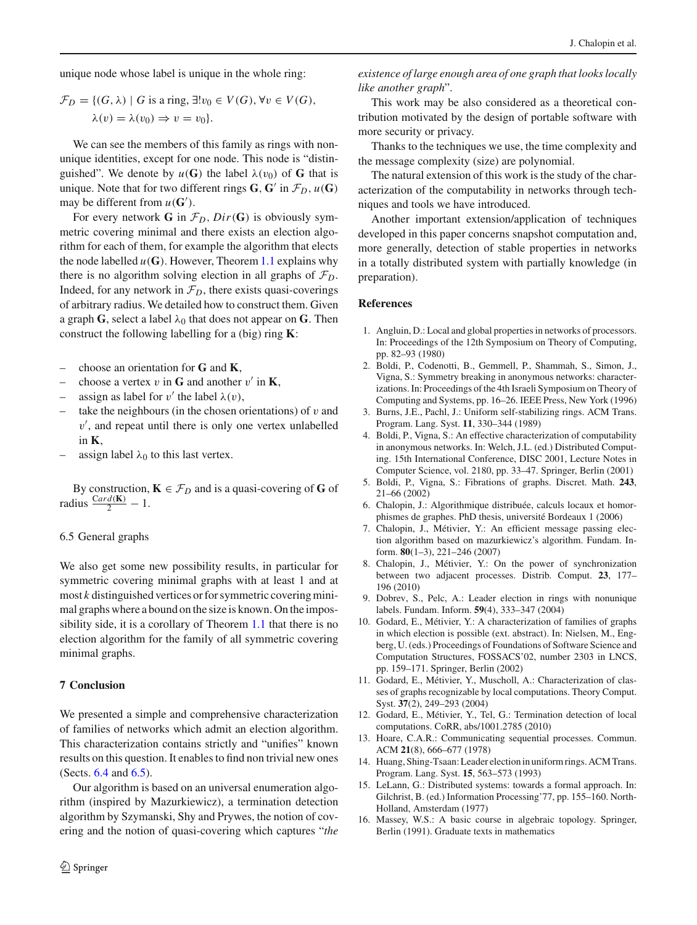unique node whose label is unique in the whole ring:

$$
\mathcal{F}_D = \{ (G, \lambda) \mid G \text{ is a ring, } \exists! v_0 \in V(G), \forall v \in V(G),
$$

$$
\lambda(v) = \lambda(v_0) \Rightarrow v = v_0 \}.
$$

We can see the members of this family as rings with nonunique identities, except for one node. This node is "distinguished". We denote by  $u(G)$  the label  $\lambda(v_0)$  of G that is unique. Note that for two different rings  $\mathbf{G}, \mathbf{G}'$  in  $\mathcal{F}_D, u(\mathbf{G})$ may be different from  $u(G')$ .

For every network **G** in  $\mathcal{F}_D$ ,  $Dir(G)$  is obviously symmetric covering minimal and there exists an election algorithm for each of them, for example the algorithm that elects the node labelled  $u(G)$ . However, Theorem [1.1](#page-2-0) explains why there is no algorithm solving election in all graphs of  $\mathcal{F}_D$ . Indeed, for any network in  $\mathcal{F}_D$ , there exists quasi-coverings of arbitrary radius. We detailed how to construct them. Given a graph **G**, select a label  $\lambda_0$  that does not appear on **G**. Then construct the following labelling for a (big) ring **K**:

- choose an orientation for **G** and **K**,
- choose a vertex v in **G** and another v' in **K**,
- assign as label for v' the label  $\lambda(v)$ ,
- take the neighbours (in the chosen orientations) of  $v$  and  $v'$ , and repeat until there is only one vertex unlabelled in **K**,
- assign label  $\lambda_0$  to this last vertex.

By construction,  $\mathbf{K} \in \mathcal{F}_D$  and is a quasi-covering of **G** of radius  $\frac{Card(\mathbf{K})}{2} - 1$ .

#### <span id="page-13-16"></span>6.5 General graphs

We also get some new possibility results, in particular for symmetric covering minimal graphs with at least 1 and at most *k* distinguished vertices or for symmetric covering minimal graphs where a bound on the size is known. On the impossibility side, it is a corollary of Theorem [1.1](#page-2-0) that there is no election algorithm for the family of all symmetric covering minimal graphs.

#### **7 Conclusion**

We presented a simple and comprehensive characterization of families of networks which admit an election algorithm. This characterization contains strictly and "unifies" known results on this question. It enables to find non trivial new ones (Sects. [6.4](#page-12-1) and [6.5\)](#page-13-16).

Our algorithm is based on an universal enumeration algorithm (inspired by Mazurkiewicz), a termination detection algorithm by Szymanski, Shy and Prywes, the notion of covering and the notion of quasi-covering which captures "*the* *existence of large enough area of one graph that looks locally like another graph*".

This work may be also considered as a theoretical contribution motivated by the design of portable software with more security or privacy.

Thanks to the techniques we use, the time complexity and the message complexity (size) are polynomial.

The natural extension of this work is the study of the characterization of the computability in networks through techniques and tools we have introduced.

Another important extension/application of techniques developed in this paper concerns snapshot computation and, more generally, detection of stable properties in networks in a totally distributed system with partially knowledge (in preparation).

#### <span id="page-13-0"></span>**References**

- 1. Angluin, D.: Local and global properties in networks of processors. In: Proceedings of the 12th Symposium on Theory of Computing, pp. 82–93 (1980)
- <span id="page-13-3"></span>2. Boldi, P., Codenotti, B., Gemmell, P., Shammah, S., Simon, J., Vigna, S.: Symmetry breaking in anonymous networks: characterizations. In: Proceedings of the 4th Israeli Symposium on Theory of Computing and Systems, pp. 16–26. IEEE Press, New York (1996)
- <span id="page-13-14"></span>3. Burns, J.E., Pachl, J.: Uniform self-stabilizing rings. ACM Trans. Program. Lang. Syst. **11**, 330–344 (1989)
- <span id="page-13-8"></span>4. Boldi, P., Vigna, S.: An effective characterization of computability in anonymous networks. In: Welch, J.L. (ed.) Distributed Computing. 15th International Conference, DISC 2001, Lecture Notes in Computer Science, vol. 2180, pp. 33–47. Springer, Berlin (2001)
- <span id="page-13-11"></span>5. Boldi, P., Vigna, S.: Fibrations of graphs. Discret. Math. **243**, 21–66 (2002)
- <span id="page-13-12"></span>6. Chalopin, J.: Algorithmique distribuée, calculs locaux et homorphismes de graphes. PhD thesis, université Bordeaux 1 (2006)
- <span id="page-13-4"></span>7. Chalopin, J., Métivier, Y.: An efficient message passing election algorithm based on mazurkiewicz's algorithm. Fundam. Inform. **80**(1–3), 221–246 (2007)
- <span id="page-13-7"></span>8. Chalopin, J., Métivier, Y.: On the power of synchronization between two adjacent processes. Distrib. Comput. **23**, 177– 196 (2010)
- 9. Dobrev, S., Pelc, A.: Leader election in rings with nonunique labels. Fundam. Inform. **59**(4), 333–347 (2004)
- <span id="page-13-10"></span><span id="page-13-5"></span>10. Godard, E., Métivier, Y.: A characterization of families of graphs in which election is possible (ext. abstract). In: Nielsen, M., Engberg, U. (eds.) Proceedings of Foundations of Software Science and Computation Structures, FOSSACS'02, number 2303 in LNCS, pp. 159–171. Springer, Berlin (2002)
- <span id="page-13-9"></span>11. Godard, E., Métivier, Y., Muscholl, A.: Characterization of classes of graphs recognizable by local computations. Theory Comput. Syst. **37**(2), 249–293 (2004)
- <span id="page-13-13"></span>12. Godard, E., Métivier, Y., Tel, G.: Termination detection of local computations. CoRR, abs/1001.2785 (2010)
- <span id="page-13-6"></span>13. Hoare, C.A.R.: Communicating sequential processes. Commun. ACM **21**(8), 666–677 (1978)
- <span id="page-13-15"></span>14. Huang, Shing-Tsaan: Leader election in uniform rings. ACM Trans. Program. Lang. Syst. **15**, 563–573 (1993)
- <span id="page-13-1"></span>15. LeLann, G.: Distributed systems: towards a formal approach. In: Gilchrist, B. (ed.) Information Processing'77, pp. 155–160. North-Holland, Amsterdam (1977)
- <span id="page-13-2"></span>16. Massey, W.S.: A basic course in algebraic topology. Springer, Berlin (1991). Graduate texts in mathematics